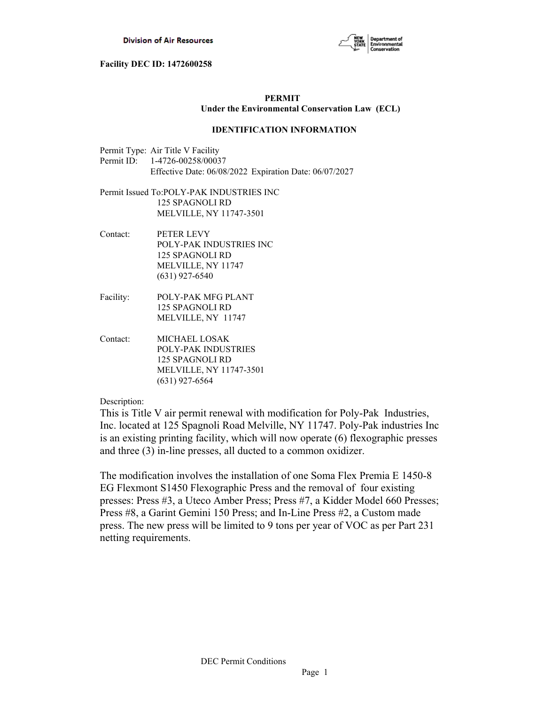

# **PERMIT Under the Environmental Conservation Law (ECL)**

## **IDENTIFICATION INFORMATION**

- Permit Type: Air Title V Facility Permit ID: 1-4726-00258/00037 Effective Date: 06/08/2022 Expiration Date: 06/07/2027
- Permit Issued To:POLY-PAK INDUSTRIES INC 125 SPAGNOLI RD MELVILLE, NY 11747-3501
- Contact: PETER LEVY POLY-PAK INDUSTRIES INC 125 SPAGNOLI RD MELVILLE, NY 11747 (631) 927-6540
- Facility: POLY-PAK MFG PLANT 125 SPAGNOLI RD MELVILLE, NY 11747
- Contact: MICHAEL LOSAK POLY-PAK INDUSTRIES 125 SPAGNOLI RD MELVILLE, NY 11747-3501 (631) 927-6564

Description:

This is Title V air permit renewal with modification for Poly-Pak Industries, Inc. located at 125 Spagnoli Road Melville, NY 11747. Poly-Pak industries Inc is an existing printing facility, which will now operate (6) flexographic presses and three (3) in-line presses, all ducted to a common oxidizer.

The modification involves the installation of one Soma Flex Premia E 1450-8 EG Flexmont S1450 Flexographic Press and the removal of four existing presses: Press #3, a Uteco Amber Press; Press #7, a Kidder Model 660 Presses; Press #8, a Garint Gemini 150 Press; and In-Line Press #2, a Custom made press. The new press will be limited to 9 tons per year of VOC as per Part 231 netting requirements.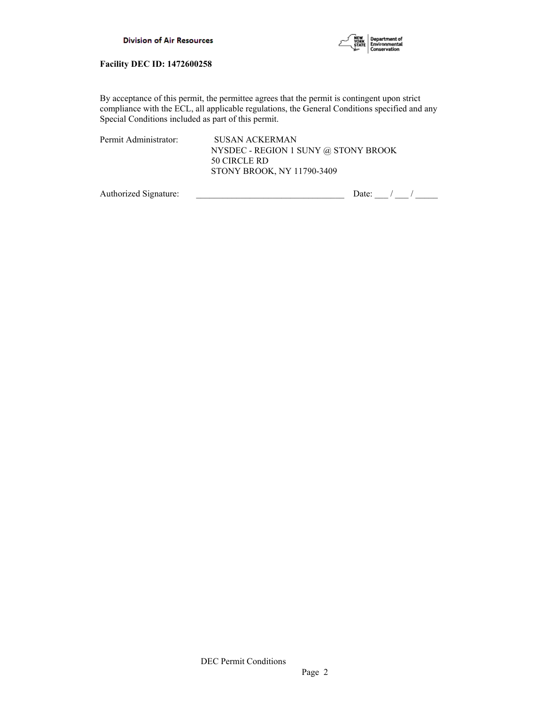



By acceptance of this permit, the permittee agrees that the permit is contingent upon strict compliance with the ECL, all applicable regulations, the General Conditions specified and any Special Conditions included as part of this permit.

| Permit Administrator: | SUSAN ACKERMAN                       |
|-----------------------|--------------------------------------|
|                       | NYSDEC - REGION 1 SUNY @ STONY BROOK |
|                       | 50 CIRCLE RD                         |
|                       | STONY BROOK, NY 11790-3409           |
|                       |                                      |

Authorized Signature:  $\frac{1}{\sqrt{2\pi}}$  Date:  $\frac{1}{\sqrt{2\pi}}$  Date:  $\frac{1}{\sqrt{2\pi}}$  /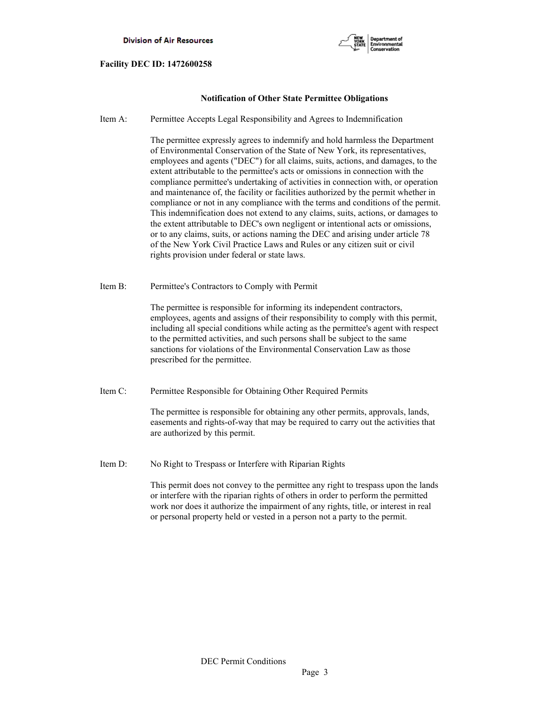

# **Notification of Other State Permittee Obligations**

Item A: Permittee Accepts Legal Responsibility and Agrees to Indemnification

 The permittee expressly agrees to indemnify and hold harmless the Department of Environmental Conservation of the State of New York, its representatives, employees and agents ("DEC") for all claims, suits, actions, and damages, to the extent attributable to the permittee's acts or omissions in connection with the compliance permittee's undertaking of activities in connection with, or operation and maintenance of, the facility or facilities authorized by the permit whether in compliance or not in any compliance with the terms and conditions of the permit. This indemnification does not extend to any claims, suits, actions, or damages to the extent attributable to DEC's own negligent or intentional acts or omissions, or to any claims, suits, or actions naming the DEC and arising under article 78 of the New York Civil Practice Laws and Rules or any citizen suit or civil rights provision under federal or state laws.

Item B: Permittee's Contractors to Comply with Permit

 The permittee is responsible for informing its independent contractors, employees, agents and assigns of their responsibility to comply with this permit, including all special conditions while acting as the permittee's agent with respect to the permitted activities, and such persons shall be subject to the same sanctions for violations of the Environmental Conservation Law as those prescribed for the permittee.

Item C: Permittee Responsible for Obtaining Other Required Permits

 The permittee is responsible for obtaining any other permits, approvals, lands, easements and rights-of-way that may be required to carry out the activities that are authorized by this permit.

Item D: No Right to Trespass or Interfere with Riparian Rights

 This permit does not convey to the permittee any right to trespass upon the lands or interfere with the riparian rights of others in order to perform the permitted work nor does it authorize the impairment of any rights, title, or interest in real or personal property held or vested in a person not a party to the permit.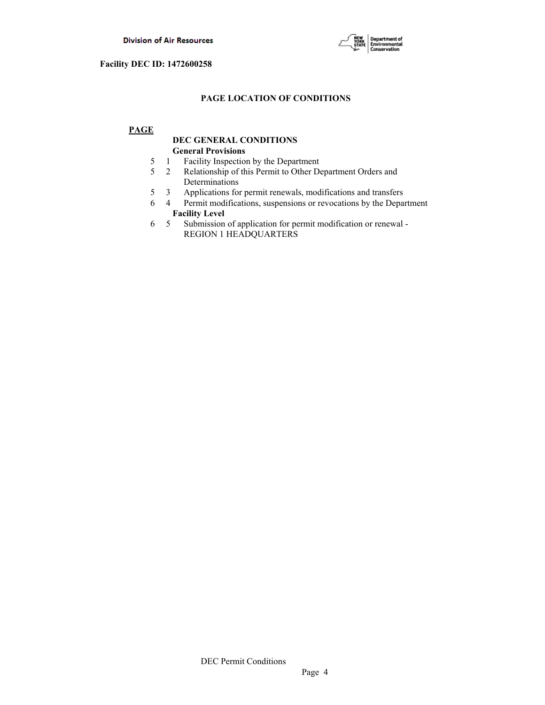

# **PAGE LOCATION OF CONDITIONS**

# **PAGE**

# **DEC GENERAL CONDITIONS General Provisions**

- 5 1 Facility Inspection by the Department
- 5 2 Relationship of this Permit to Other Department Orders and Determinations
- 5 3 Applications for permit renewals, modifications and transfers
- 6 4 Permit modifications, suspensions or revocations by the Department  **Facility Level**
- 6 5 Submission of application for permit modification or renewal REGION 1 HEADQUARTERS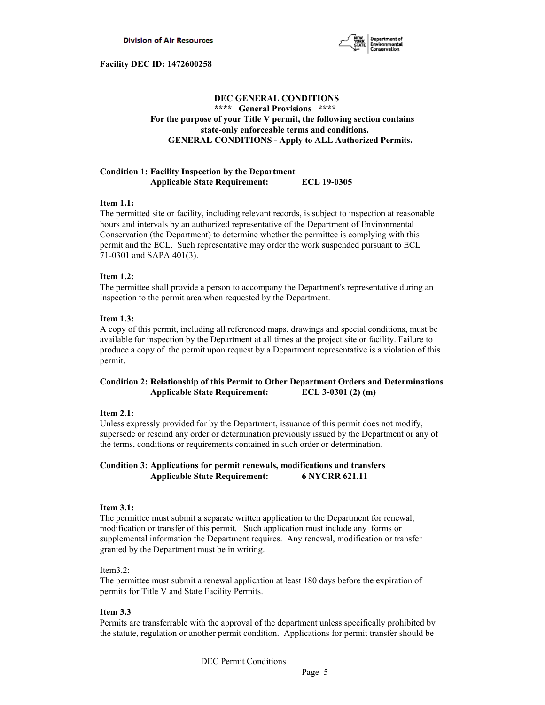

# **DEC GENERAL CONDITIONS \*\*\*\* General Provisions \*\*\*\* For the purpose of your Title V permit, the following section contains state-only enforceable terms and conditions. GENERAL CONDITIONS - Apply to ALL Authorized Permits.**

### **Condition 1: Facility Inspection by the Department Applicable State Requirement: ECL 19-0305**

### **Item 1.1:**

The permitted site or facility, including relevant records, is subject to inspection at reasonable hours and intervals by an authorized representative of the Department of Environmental Conservation (the Department) to determine whether the permittee is complying with this permit and the ECL. Such representative may order the work suspended pursuant to ECL 71-0301 and SAPA 401(3).

### **Item 1.2:**

The permittee shall provide a person to accompany the Department's representative during an inspection to the permit area when requested by the Department.

### **Item 1.3:**

A copy of this permit, including all referenced maps, drawings and special conditions, must be available for inspection by the Department at all times at the project site or facility. Failure to produce a copy of the permit upon request by a Department representative is a violation of this permit.

# **Condition 2: Relationship of this Permit to Other Department Orders and Determinations Applicable State Requirement: ECL 3-0301 (2) (m)**

### **Item 2.1:**

Unless expressly provided for by the Department, issuance of this permit does not modify, supersede or rescind any order or determination previously issued by the Department or any of the terms, conditions or requirements contained in such order or determination.

## **Condition 3: Applications for permit renewals, modifications and transfers Applicable State Requirement: 6 NYCRR 621.11**

### **Item 3.1:**

The permittee must submit a separate written application to the Department for renewal, modification or transfer of this permit. Such application must include any forms or supplemental information the Department requires. Any renewal, modification or transfer granted by the Department must be in writing.

### Item3.2:

The permittee must submit a renewal application at least 180 days before the expiration of permits for Title V and State Facility Permits.

### **Item 3.3**

Permits are transferrable with the approval of the department unless specifically prohibited by the statute, regulation or another permit condition. Applications for permit transfer should be

DEC Permit Conditions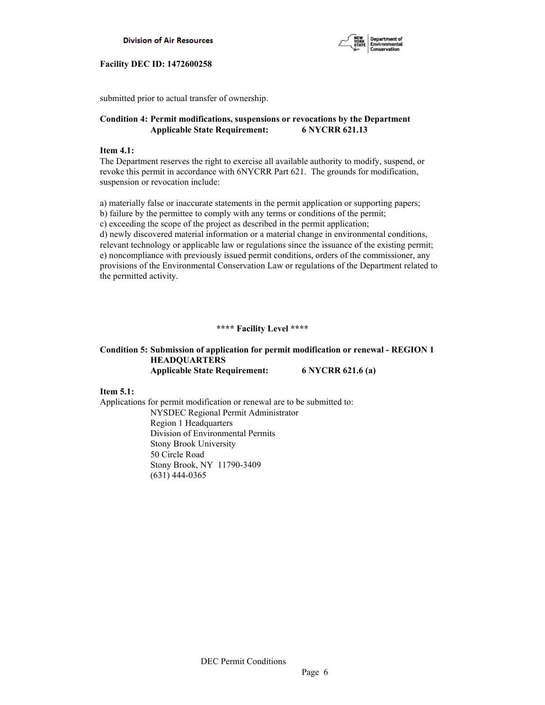



submitted prior to actual transfer of ownership.

# **Condition 4: Permit modifications, suspensions or revocations by the Department Applicable State Requirement: 6 NYCRR 621.13**

## **Item 4.1:**

The Department reserves the right to exercise all available authority to modify, suspend, or revoke this permit in accordance with 6NYCRR Part 621. The grounds for modification, suspension or revocation include:

a) materially false or inaccurate statements in the permit application or supporting papers; b) failure by the permittee to comply with any terms or conditions of the permit; c) exceeding the scope of the project as described in the permit application; d) newly discovered material information or a material change in environmental conditions, relevant technology or applicable law or regulations since the issuance of the existing permit; e) noncompliance with previously issued permit conditions, orders of the commissioner, any provisions of the Environmental Conservation Law or regulations of the Department related to the permitted activity.

# **\*\*\*\* Facility Level \*\*\*\***

# **Condition 5: Submission of application for permit modification or renewal - REGION 1 HEADQUARTERS Applicable State Requirement: 6 NYCRR 621.6 (a)**

**Item 5.1:** 

Applications for permit modification or renewal are to be submitted to: NYSDEC Regional Permit Administrator Region 1 Headquarters Division of Environmental Permits Stony Brook University 50 Circle Road Stony Brook, NY 11790-3409 (631) 444-0365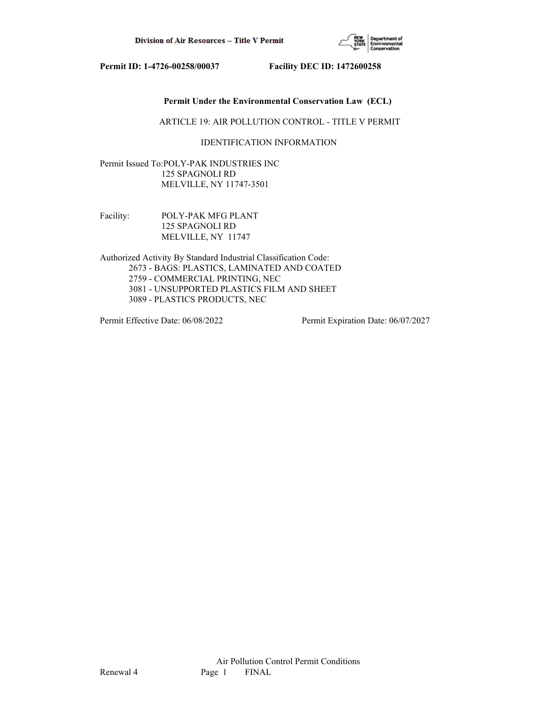

## **Permit Under the Environmental Conservation Law (ECL)**

ARTICLE 19: AIR POLLUTION CONTROL - TITLE V PERMIT

# IDENTIFICATION INFORMATION

Permit Issued To:POLY-PAK INDUSTRIES INC 125 SPAGNOLI RD MELVILLE, NY 11747-3501

Facility: POLY-PAK MFG PLANT 125 SPAGNOLI RD MELVILLE, NY 11747

Authorized Activity By Standard Industrial Classification Code: 2673 - BAGS: PLASTICS, LAMINATED AND COATED 2759 - COMMERCIAL PRINTING, NEC 3081 - UNSUPPORTED PLASTICS FILM AND SHEET 3089 - PLASTICS PRODUCTS, NEC

Permit Effective Date: 06/08/2022 Permit Expiration Date: 06/07/2027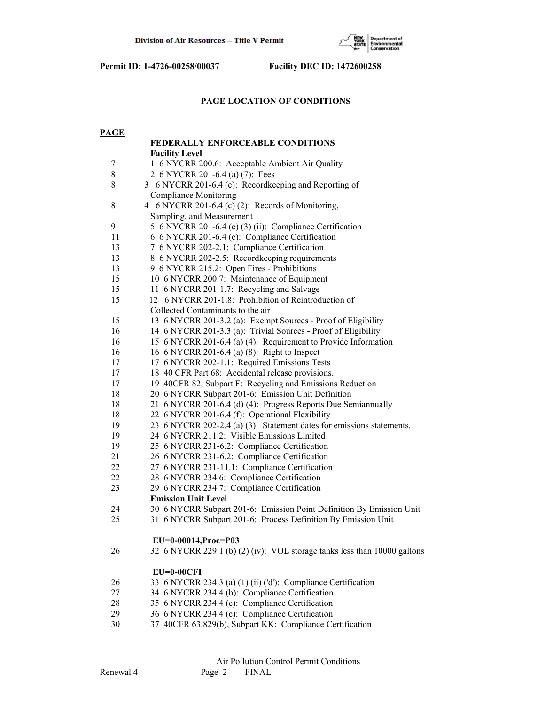

# **PAGE LOCATION OF CONDITIONS**

| <b>PAGE</b> |                                                                          |
|-------------|--------------------------------------------------------------------------|
|             | <b>FEDERALLY ENFORCEABLE CONDITIONS</b>                                  |
|             | <b>Facility Level</b>                                                    |
| 7           | 1 6 NYCRR 200.6: Acceptable Ambient Air Quality                          |
| $8\,$       | 2 6 NYCRR 201-6.4 (a) (7): Fees                                          |
| 8           | 3 6 NYCRR 201-6.4 (c): Recordkeeping and Reporting of                    |
|             | <b>Compliance Monitoring</b>                                             |
| $\,8\,$     | 4 6 NYCRR 201-6.4 (c) (2): Records of Monitoring,                        |
|             | Sampling, and Measurement                                                |
| 9           | 5 6 NYCRR 201-6.4 (c) (3) (ii): Compliance Certification                 |
| 11          | 6 6 NYCRR 201-6.4 (e): Compliance Certification                          |
| 13          | 7 6 NYCRR 202-2.1: Compliance Certification                              |
| 13          | 8 6 NYCRR 202-2.5: Recordkeeping requirements                            |
| 13          | 9 6 NYCRR 215.2: Open Fires - Prohibitions                               |
| 15          | 10 6 NYCRR 200.7: Maintenance of Equipment                               |
| 15          | 11 6 NYCRR 201-1.7: Recycling and Salvage                                |
| 15          | 12 6 NYCRR 201-1.8: Prohibition of Reintroduction of                     |
|             | Collected Contaminants to the air                                        |
| 15          | 13 6 NYCRR 201-3.2 (a): Exempt Sources - Proof of Eligibility            |
| 16          | 14 6 NYCRR 201-3.3 (a): Trivial Sources - Proof of Eligibility           |
| 16          | 15 6 NYCRR 201-6.4 (a) (4): Requirement to Provide Information           |
| 16          | 16 6 NYCRR 201-6.4 (a) (8): Right to Inspect                             |
| 17          | 17 6 NYCRR 202-1.1: Required Emissions Tests                             |
| 17          | 18 40 CFR Part 68: Accidental release provisions.                        |
| 17          | 19 40CFR 82, Subpart F: Recycling and Emissions Reduction                |
| 18          | 20 6 NYCRR Subpart 201-6: Emission Unit Definition                       |
| 18          | 21 6 NYCRR 201-6.4 (d) (4): Progress Reports Due Semiannually            |
| 18          | 22 6 NYCRR 201-6.4 (f): Operational Flexibility                          |
| 19          | 23 6 NYCRR 202-2.4 (a) (3): Statement dates for emissions statements.    |
| 19          | 24 6 NYCRR 211.2: Visible Emissions Limited                              |
| 19          | 25 6 NYCRR 231-6.2: Compliance Certification                             |
| 21          | 26 6 NYCRR 231-6.2: Compliance Certification                             |
| 22          | 27 6 NYCRR 231-11.1: Compliance Certification                            |
| 22          | 28 6 NYCRR 234.6: Compliance Certification                               |
| 23          | 29 6 NYCRR 234.7: Compliance Certification                               |
|             | <b>Emission Unit Level</b>                                               |
| 24          | 30 6 NYCRR Subpart 201-6: Emission Point Definition By Emission Unit     |
| 25          | 31 6 NYCRR Subpart 201-6: Process Definition By Emission Unit            |
|             |                                                                          |
|             | EU=0-00014, Proc=P03                                                     |
| 26          | 32 6 NYCRR 229.1 (b) (2) (iv): VOL storage tanks less than 10000 gallons |
|             |                                                                          |
|             | $EU=0-00CFI$                                                             |
| 26          | 33 6 NYCRR 234.3 (a) (1) (ii) ('d'): Compliance Certification            |
| 27          | 34 6 NYCRR 234.4 (b): Compliance Certification                           |
| 28          | 35 6 NYCRR 234.4 (c): Compliance Certification                           |
| 29          | 36 6 NYCRR 234.4 (c): Compliance Certification                           |
| 30          | 37 40CFR 63.829(b), Subpart KK: Compliance Certification                 |
|             |                                                                          |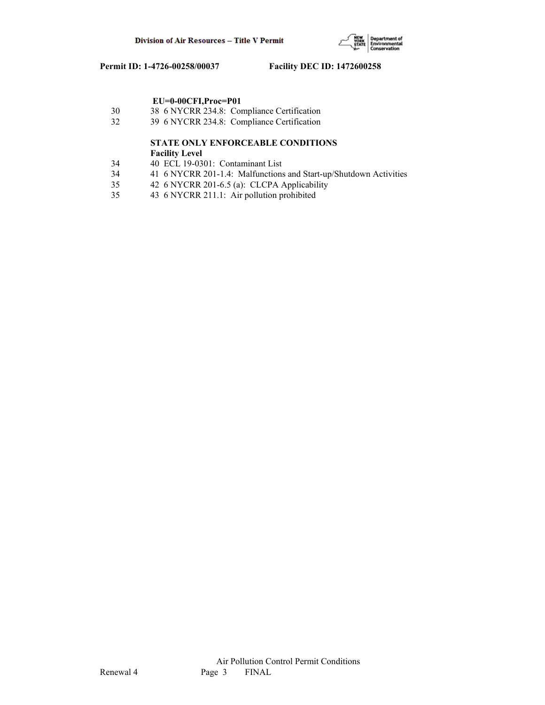

# **EU=0-00CFI,Proc=P01**

- 30 38 6 NYCRR 234.8: Compliance Certification
- 32 39 6 NYCRR 234.8: Compliance Certification

# **STATE ONLY ENFORCEABLE CONDITIONS Facility Level**

- 34 40 ECL 19-0301: Contaminant List
- 34 41 6 NYCRR 201-1.4: Malfunctions and Start-up/Shutdown Activities
- 35 42 6 NYCRR 201-6.5 (a): CLCPA Applicability
- 35 43 6 NYCRR 211.1: Air pollution prohibited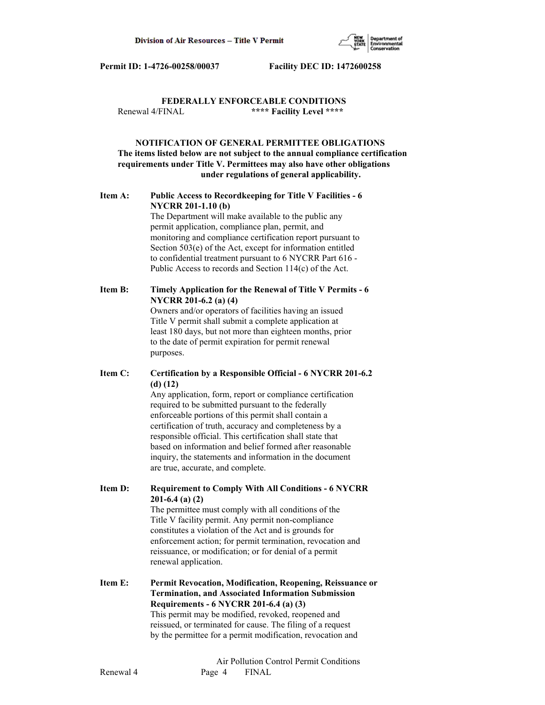

# **FEDERALLY ENFORCEABLE CONDITIONS** Renewal 4/FINAL **\*\*\*\* Facility Level \*\*\*\***

# **NOTIFICATION OF GENERAL PERMITTEE OBLIGATIONS The items listed below are not subject to the annual compliance certification requirements under Title V. Permittees may also have other obligations under regulations of general applicability.**

# **Item A: Public Access to Recordkeeping for Title V Facilities - 6 NYCRR 201-1.10 (b)**

 The Department will make available to the public any permit application, compliance plan, permit, and monitoring and compliance certification report pursuant to Section 503(e) of the Act, except for information entitled to confidential treatment pursuant to 6 NYCRR Part 616 - Public Access to records and Section 114(c) of the Act.

# **Item B: Timely Application for the Renewal of Title V Permits - 6 NYCRR 201-6.2 (a) (4)**

 Owners and/or operators of facilities having an issued Title V permit shall submit a complete application at least 180 days, but not more than eighteen months, prior to the date of permit expiration for permit renewal purposes.

# **Item C: Certification by a Responsible Official - 6 NYCRR 201-6.2 (d) (12)**

 Any application, form, report or compliance certification required to be submitted pursuant to the federally enforceable portions of this permit shall contain a certification of truth, accuracy and completeness by a responsible official. This certification shall state that based on information and belief formed after reasonable inquiry, the statements and information in the document are true, accurate, and complete.

**Item D: Requirement to Comply With All Conditions - 6 NYCRR 201-6.4 (a) (2)**

 The permittee must comply with all conditions of the Title V facility permit. Any permit non-compliance constitutes a violation of the Act and is grounds for enforcement action; for permit termination, revocation and reissuance, or modification; or for denial of a permit renewal application.

**Item E: Permit Revocation, Modification, Reopening, Reissuance or Termination, and Associated Information Submission Requirements - 6 NYCRR 201-6.4 (a) (3)** This permit may be modified, revoked, reopened and reissued, or terminated for cause. The filing of a request by the permittee for a permit modification, revocation and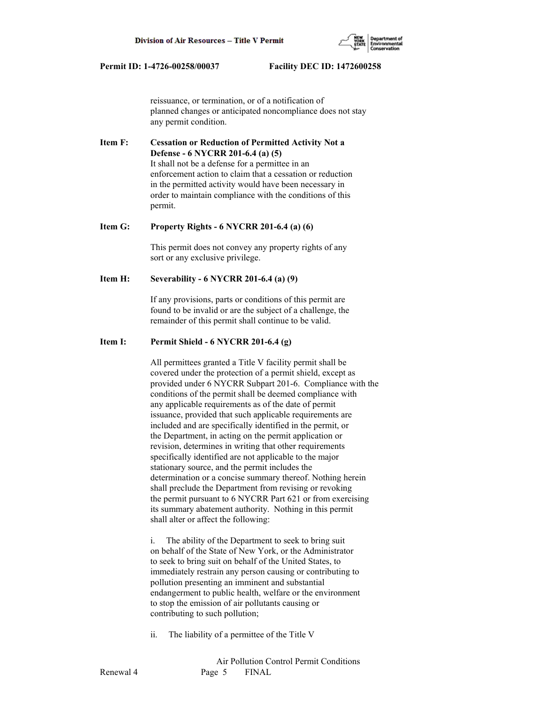

 reissuance, or termination, or of a notification of planned changes or anticipated noncompliance does not stay any permit condition.

**Item F: Cessation or Reduction of Permitted Activity Not a Defense - 6 NYCRR 201-6.4 (a) (5)** It shall not be a defense for a permittee in an enforcement action to claim that a cessation or reduction in the permitted activity would have been necessary in order to maintain compliance with the conditions of this permit.

#### **Item G: Property Rights - 6 NYCRR 201-6.4 (a) (6)**

 This permit does not convey any property rights of any sort or any exclusive privilege.

### **Item H: Severability - 6 NYCRR 201-6.4 (a) (9)**

 If any provisions, parts or conditions of this permit are found to be invalid or are the subject of a challenge, the remainder of this permit shall continue to be valid.

# **Item I: Permit Shield - 6 NYCRR 201-6.4 (g)**

 All permittees granted a Title V facility permit shall be covered under the protection of a permit shield, except as provided under 6 NYCRR Subpart 201-6. Compliance with the conditions of the permit shall be deemed compliance with any applicable requirements as of the date of permit issuance, provided that such applicable requirements are included and are specifically identified in the permit, or the Department, in acting on the permit application or revision, determines in writing that other requirements specifically identified are not applicable to the major stationary source, and the permit includes the determination or a concise summary thereof. Nothing herein shall preclude the Department from revising or revoking the permit pursuant to 6 NYCRR Part 621 or from exercising its summary abatement authority. Nothing in this permit shall alter or affect the following:

 i. The ability of the Department to seek to bring suit on behalf of the State of New York, or the Administrator to seek to bring suit on behalf of the United States, to immediately restrain any person causing or contributing to pollution presenting an imminent and substantial endangerment to public health, welfare or the environment to stop the emission of air pollutants causing or contributing to such pollution;

ii. The liability of a permittee of the Title V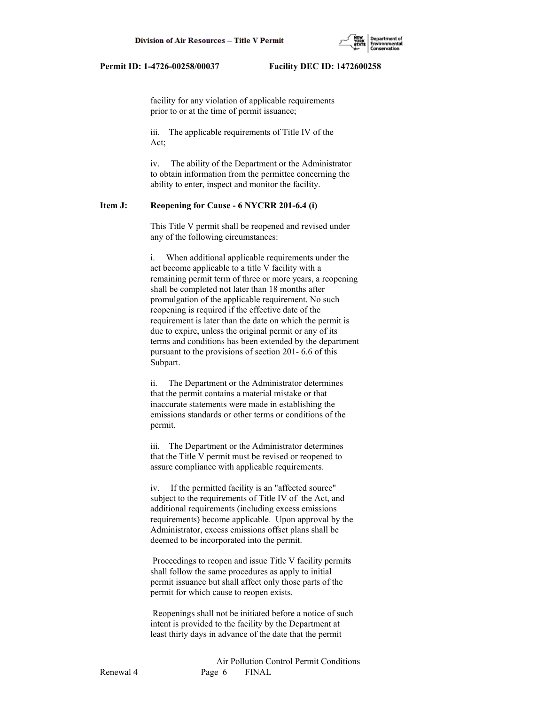

 facility for any violation of applicable requirements prior to or at the time of permit issuance;

 iii. The applicable requirements of Title IV of the Act;

 iv. The ability of the Department or the Administrator to obtain information from the permittee concerning the ability to enter, inspect and monitor the facility.

## **Item J: Reopening for Cause - 6 NYCRR 201-6.4 (i)**

 This Title V permit shall be reopened and revised under any of the following circumstances:

 i. When additional applicable requirements under the act become applicable to a title V facility with a remaining permit term of three or more years, a reopening shall be completed not later than 18 months after promulgation of the applicable requirement. No such reopening is required if the effective date of the requirement is later than the date on which the permit is due to expire, unless the original permit or any of its terms and conditions has been extended by the department pursuant to the provisions of section 201- 6.6 of this Subpart.

 ii. The Department or the Administrator determines that the permit contains a material mistake or that inaccurate statements were made in establishing the emissions standards or other terms or conditions of the permit.

 iii. The Department or the Administrator determines that the Title V permit must be revised or reopened to assure compliance with applicable requirements.

 iv. If the permitted facility is an "affected source" subject to the requirements of Title IV of the Act, and additional requirements (including excess emissions requirements) become applicable. Upon approval by the Administrator, excess emissions offset plans shall be deemed to be incorporated into the permit.

 Proceedings to reopen and issue Title V facility permits shall follow the same procedures as apply to initial permit issuance but shall affect only those parts of the permit for which cause to reopen exists.

 Reopenings shall not be initiated before a notice of such intent is provided to the facility by the Department at least thirty days in advance of the date that the permit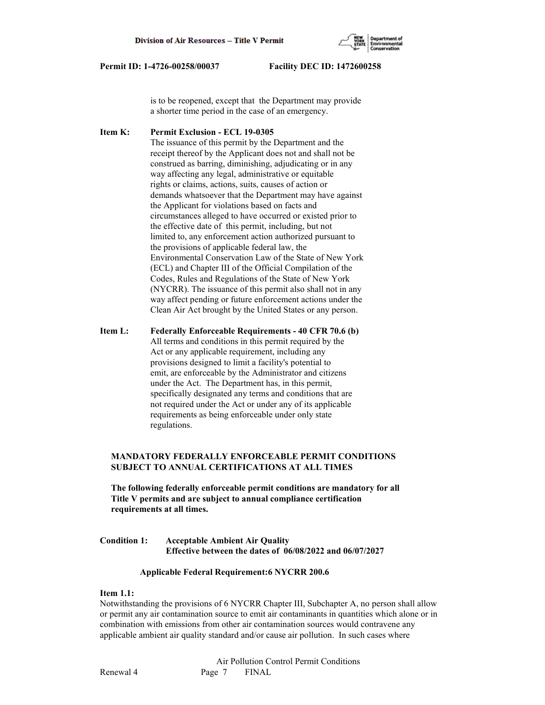

 is to be reopened, except that the Department may provide a shorter time period in the case of an emergency.

**Item K: Permit Exclusion - ECL 19-0305** The issuance of this permit by the Department and the receipt thereof by the Applicant does not and shall not be construed as barring, diminishing, adjudicating or in any way affecting any legal, administrative or equitable rights or claims, actions, suits, causes of action or demands whatsoever that the Department may have against the Applicant for violations based on facts and circumstances alleged to have occurred or existed prior to the effective date of this permit, including, but not limited to, any enforcement action authorized pursuant to the provisions of applicable federal law, the Environmental Conservation Law of the State of New York (ECL) and Chapter III of the Official Compilation of the Codes, Rules and Regulations of the State of New York (NYCRR). The issuance of this permit also shall not in any way affect pending or future enforcement actions under the Clean Air Act brought by the United States or any person.

**Item L: Federally Enforceable Requirements - 40 CFR 70.6 (b)** All terms and conditions in this permit required by the Act or any applicable requirement, including any provisions designed to limit a facility's potential to emit, are enforceable by the Administrator and citizens under the Act. The Department has, in this permit, specifically designated any terms and conditions that are not required under the Act or under any of its applicable requirements as being enforceable under only state regulations.

# **MANDATORY FEDERALLY ENFORCEABLE PERMIT CONDITIONS SUBJECT TO ANNUAL CERTIFICATIONS AT ALL TIMES**

 **The following federally enforceable permit conditions are mandatory for all Title V permits and are subject to annual compliance certification requirements at all times.**

**Condition 1: Acceptable Ambient Air Quality Effective between the dates of 06/08/2022 and 06/07/2027**

### **Applicable Federal Requirement:6 NYCRR 200.6**

## **Item 1.1:**

Notwithstanding the provisions of 6 NYCRR Chapter III, Subchapter A, no person shall allow or permit any air contamination source to emit air contaminants in quantities which alone or in combination with emissions from other air contamination sources would contravene any applicable ambient air quality standard and/or cause air pollution. In such cases where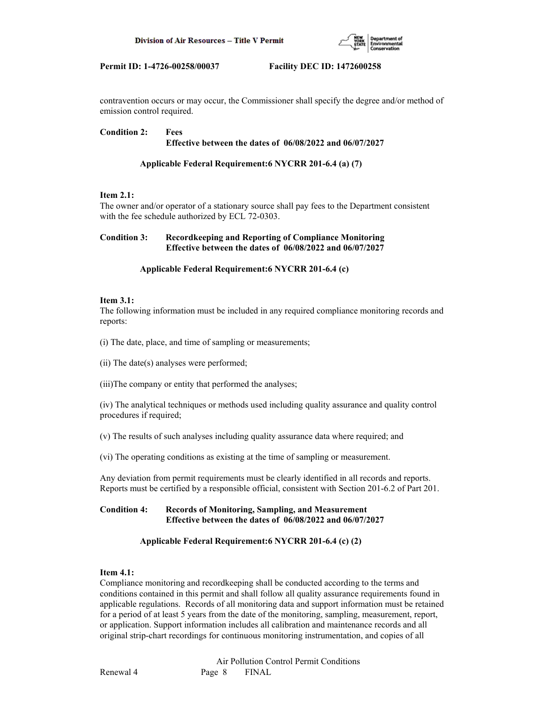

contravention occurs or may occur, the Commissioner shall specify the degree and/or method of emission control required.

## **Condition 2: Fees Effective between the dates of 06/08/2022 and 06/07/2027**

# **Applicable Federal Requirement:6 NYCRR 201-6.4 (a) (7)**

# **Item 2.1:**

The owner and/or operator of a stationary source shall pay fees to the Department consistent with the fee schedule authorized by ECL 72-0303.

# **Condition 3: Recordkeeping and Reporting of Compliance Monitoring Effective between the dates of 06/08/2022 and 06/07/2027**

## **Applicable Federal Requirement:6 NYCRR 201-6.4 (c)**

## **Item 3.1:**

The following information must be included in any required compliance monitoring records and reports:

(i) The date, place, and time of sampling or measurements;

(ii) The date(s) analyses were performed;

(iii)The company or entity that performed the analyses;

(iv) The analytical techniques or methods used including quality assurance and quality control procedures if required;

(v) The results of such analyses including quality assurance data where required; and

(vi) The operating conditions as existing at the time of sampling or measurement.

Any deviation from permit requirements must be clearly identified in all records and reports. Reports must be certified by a responsible official, consistent with Section 201-6.2 of Part 201.

# **Condition 4: Records of Monitoring, Sampling, and Measurement Effective between the dates of 06/08/2022 and 06/07/2027**

# **Applicable Federal Requirement:6 NYCRR 201-6.4 (c) (2)**

## **Item 4.1:**

Compliance monitoring and recordkeeping shall be conducted according to the terms and conditions contained in this permit and shall follow all quality assurance requirements found in applicable regulations. Records of all monitoring data and support information must be retained for a period of at least 5 years from the date of the monitoring, sampling, measurement, report, or application. Support information includes all calibration and maintenance records and all original strip-chart recordings for continuous monitoring instrumentation, and copies of all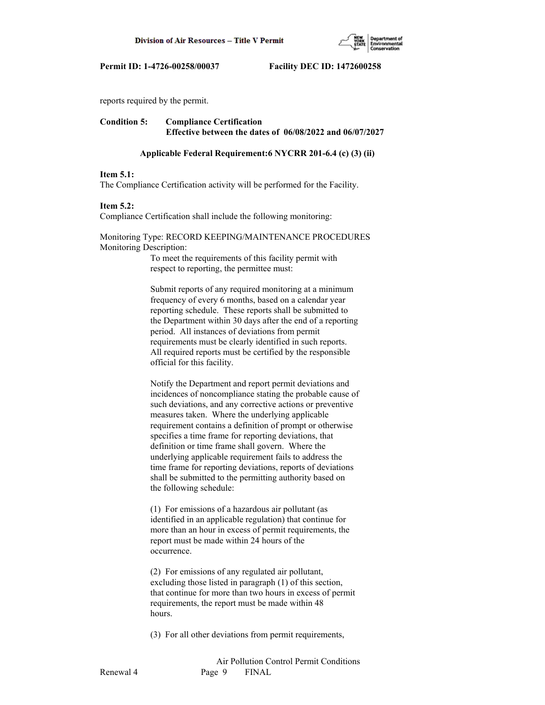

reports required by the permit.

# **Condition 5: Compliance Certification Effective between the dates of 06/08/2022 and 06/07/2027**

#### **Applicable Federal Requirement:6 NYCRR 201-6.4 (c) (3) (ii)**

#### **Item 5.1:**

The Compliance Certification activity will be performed for the Facility.

#### **Item 5.2:**

Compliance Certification shall include the following monitoring:

## Monitoring Type: RECORD KEEPING/MAINTENANCE PROCEDURES Monitoring Description:

 To meet the requirements of this facility permit with respect to reporting, the permittee must:

 Submit reports of any required monitoring at a minimum frequency of every 6 months, based on a calendar year reporting schedule. These reports shall be submitted to the Department within 30 days after the end of a reporting period. All instances of deviations from permit requirements must be clearly identified in such reports. All required reports must be certified by the responsible official for this facility.

 Notify the Department and report permit deviations and incidences of noncompliance stating the probable cause of such deviations, and any corrective actions or preventive measures taken. Where the underlying applicable requirement contains a definition of prompt or otherwise specifies a time frame for reporting deviations, that definition or time frame shall govern. Where the underlying applicable requirement fails to address the time frame for reporting deviations, reports of deviations shall be submitted to the permitting authority based on the following schedule:

 (1) For emissions of a hazardous air pollutant (as identified in an applicable regulation) that continue for more than an hour in excess of permit requirements, the report must be made within 24 hours of the occurrence.

 (2) For emissions of any regulated air pollutant, excluding those listed in paragraph (1) of this section, that continue for more than two hours in excess of permit requirements, the report must be made within 48 hours.

(3) For all other deviations from permit requirements,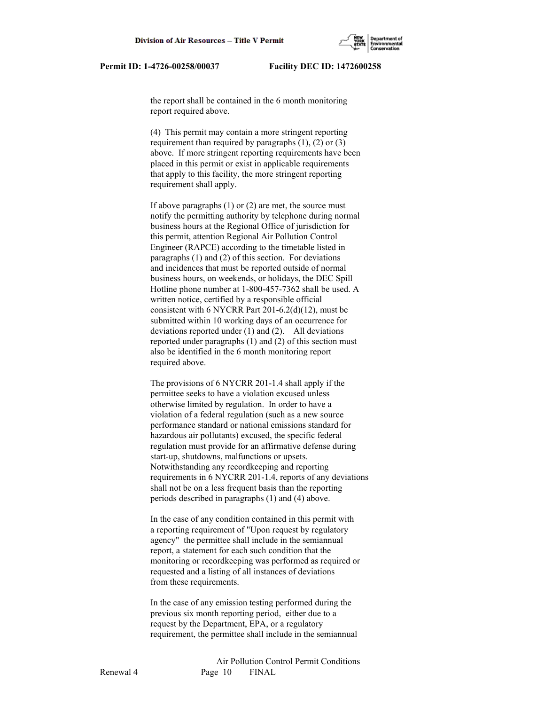

 the report shall be contained in the 6 month monitoring report required above.

 (4) This permit may contain a more stringent reporting requirement than required by paragraphs  $(1)$ ,  $(2)$  or  $(3)$  above. If more stringent reporting requirements have been placed in this permit or exist in applicable requirements that apply to this facility, the more stringent reporting requirement shall apply.

 If above paragraphs (1) or (2) are met, the source must notify the permitting authority by telephone during normal business hours at the Regional Office of jurisdiction for this permit, attention Regional Air Pollution Control Engineer (RAPCE) according to the timetable listed in paragraphs (1) and (2) of this section. For deviations and incidences that must be reported outside of normal business hours, on weekends, or holidays, the DEC Spill Hotline phone number at 1-800-457-7362 shall be used. A written notice, certified by a responsible official consistent with 6 NYCRR Part 201-6.2(d)(12), must be submitted within 10 working days of an occurrence for deviations reported under (1) and (2). All deviations reported under paragraphs (1) and (2) of this section must also be identified in the 6 month monitoring report required above.

 The provisions of 6 NYCRR 201-1.4 shall apply if the permittee seeks to have a violation excused unless otherwise limited by regulation. In order to have a violation of a federal regulation (such as a new source performance standard or national emissions standard for hazardous air pollutants) excused, the specific federal regulation must provide for an affirmative defense during start-up, shutdowns, malfunctions or upsets. Notwithstanding any recordkeeping and reporting requirements in 6 NYCRR 201-1.4, reports of any deviations shall not be on a less frequent basis than the reporting periods described in paragraphs (1) and (4) above.

 In the case of any condition contained in this permit with a reporting requirement of "Upon request by regulatory agency" the permittee shall include in the semiannual report, a statement for each such condition that the monitoring or recordkeeping was performed as required or requested and a listing of all instances of deviations from these requirements.

 In the case of any emission testing performed during the previous six month reporting period, either due to a request by the Department, EPA, or a regulatory requirement, the permittee shall include in the semiannual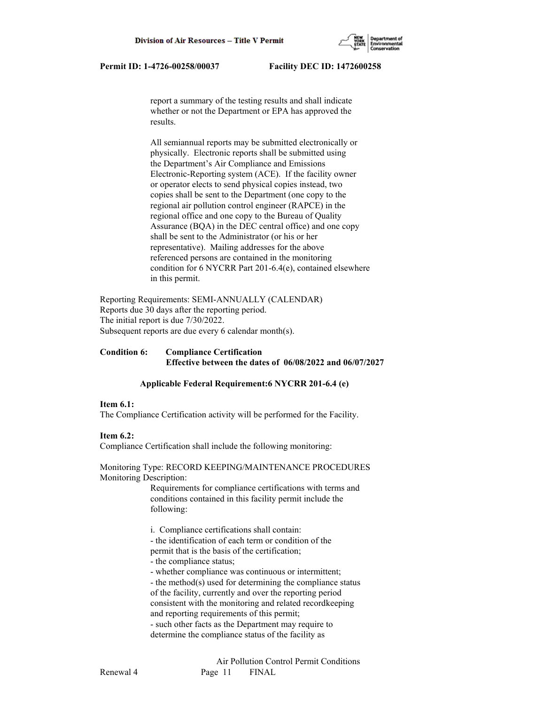

 report a summary of the testing results and shall indicate whether or not the Department or EPA has approved the results.

 All semiannual reports may be submitted electronically or physically. Electronic reports shall be submitted using the Department's Air Compliance and Emissions Electronic-Reporting system (ACE). If the facility owner or operator elects to send physical copies instead, two copies shall be sent to the Department (one copy to the regional air pollution control engineer (RAPCE) in the regional office and one copy to the Bureau of Quality Assurance (BQA) in the DEC central office) and one copy shall be sent to the Administrator (or his or her representative). Mailing addresses for the above referenced persons are contained in the monitoring condition for 6 NYCRR Part 201-6.4(e), contained elsewhere in this permit.

Reporting Requirements: SEMI-ANNUALLY (CALENDAR) Reports due 30 days after the reporting period. The initial report is due 7/30/2022. Subsequent reports are due every 6 calendar month(s).

## **Condition 6: Compliance Certification Effective between the dates of 06/08/2022 and 06/07/2027**

### **Applicable Federal Requirement:6 NYCRR 201-6.4 (e)**

### **Item 6.1:**

The Compliance Certification activity will be performed for the Facility.

## **Item 6.2:**

Compliance Certification shall include the following monitoring:

Monitoring Type: RECORD KEEPING/MAINTENANCE PROCEDURES Monitoring Description:

> Requirements for compliance certifications with terms and conditions contained in this facility permit include the following:

i. Compliance certifications shall contain:

 - the identification of each term or condition of the permit that is the basis of the certification;

- the compliance status;

- whether compliance was continuous or intermittent;

 - the method(s) used for determining the compliance status of the facility, currently and over the reporting period consistent with the monitoring and related recordkeeping and reporting requirements of this permit;

 - such other facts as the Department may require to determine the compliance status of the facility as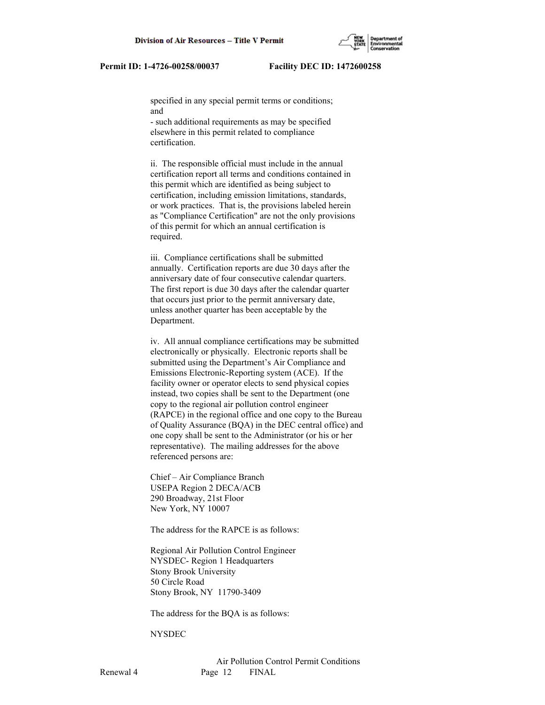specified in any special permit terms or conditions; and

 - such additional requirements as may be specified elsewhere in this permit related to compliance certification.

 ii. The responsible official must include in the annual certification report all terms and conditions contained in this permit which are identified as being subject to certification, including emission limitations, standards, or work practices. That is, the provisions labeled herein as "Compliance Certification" are not the only provisions of this permit for which an annual certification is required.

 iii. Compliance certifications shall be submitted annually. Certification reports are due 30 days after the anniversary date of four consecutive calendar quarters. The first report is due 30 days after the calendar quarter that occurs just prior to the permit anniversary date, unless another quarter has been acceptable by the Department.

 iv. All annual compliance certifications may be submitted electronically or physically. Electronic reports shall be submitted using the Department's Air Compliance and Emissions Electronic-Reporting system (ACE). If the facility owner or operator elects to send physical copies instead, two copies shall be sent to the Department (one copy to the regional air pollution control engineer (RAPCE) in the regional office and one copy to the Bureau of Quality Assurance (BQA) in the DEC central office) and one copy shall be sent to the Administrator (or his or her representative). The mailing addresses for the above referenced persons are:

 Chief – Air Compliance Branch USEPA Region 2 DECA/ACB 290 Broadway, 21st Floor New York, NY 10007

The address for the RAPCE is as follows:

 Regional Air Pollution Control Engineer NYSDEC- Region 1 Headquarters Stony Brook University 50 Circle Road Stony Brook, NY 11790-3409

The address for the BQA is as follows:

#### **NYSDEC**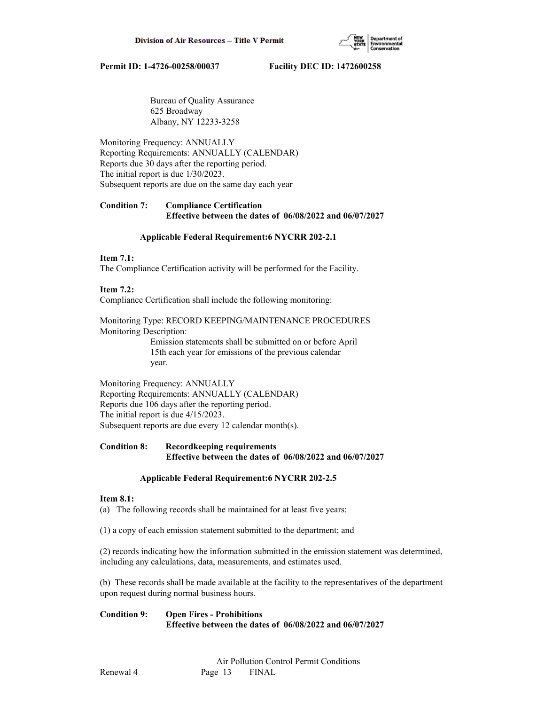

 Bureau of Quality Assurance 625 Broadway Albany, NY 12233-3258

Monitoring Frequency: ANNUALLY Reporting Requirements: ANNUALLY (CALENDAR) Reports due 30 days after the reporting period. The initial report is due 1/30/2023. Subsequent reports are due on the same day each year

# **Condition 7: Compliance Certification Effective between the dates of 06/08/2022 and 06/07/2027**

### **Applicable Federal Requirement:6 NYCRR 202-2.1**

### **Item 7.1:**

The Compliance Certification activity will be performed for the Facility.

## **Item 7.2:**

Compliance Certification shall include the following monitoring:

Monitoring Type: RECORD KEEPING/MAINTENANCE PROCEDURES Monitoring Description:

 Emission statements shall be submitted on or before April 15th each year for emissions of the previous calendar year.

Monitoring Frequency: ANNUALLY Reporting Requirements: ANNUALLY (CALENDAR) Reports due 106 days after the reporting period. The initial report is due 4/15/2023. Subsequent reports are due every 12 calendar month(s).

# **Condition 8: Recordkeeping requirements Effective between the dates of 06/08/2022 and 06/07/2027**

### **Applicable Federal Requirement:6 NYCRR 202-2.5**

### **Item 8.1:**

(a) The following records shall be maintained for at least five years:

(1) a copy of each emission statement submitted to the department; and

(2) records indicating how the information submitted in the emission statement was determined, including any calculations, data, measurements, and estimates used.

(b) These records shall be made available at the facility to the representatives of the department upon request during normal business hours.

**Condition 9: Open Fires - Prohibitions Effective between the dates of 06/08/2022 and 06/07/2027**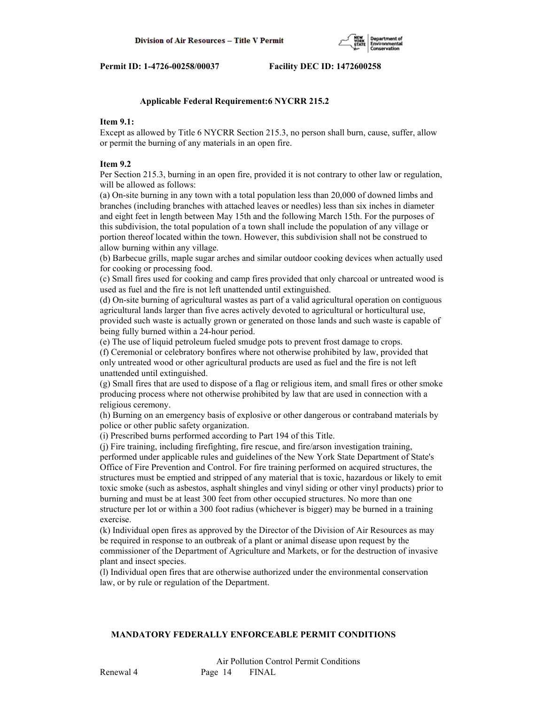

### **Applicable Federal Requirement:6 NYCRR 215.2**

## **Item 9.1:**

Except as allowed by Title 6 NYCRR Section 215.3, no person shall burn, cause, suffer, allow or permit the burning of any materials in an open fire.

#### **Item 9.2**

Per Section 215.3, burning in an open fire, provided it is not contrary to other law or regulation, will be allowed as follows:

(a) On-site burning in any town with a total population less than 20,000 of downed limbs and branches (including branches with attached leaves or needles) less than six inches in diameter and eight feet in length between May 15th and the following March 15th. For the purposes of this subdivision, the total population of a town shall include the population of any village or portion thereof located within the town. However, this subdivision shall not be construed to allow burning within any village.

(b) Barbecue grills, maple sugar arches and similar outdoor cooking devices when actually used for cooking or processing food.

(c) Small fires used for cooking and camp fires provided that only charcoal or untreated wood is used as fuel and the fire is not left unattended until extinguished.

(d) On-site burning of agricultural wastes as part of a valid agricultural operation on contiguous agricultural lands larger than five acres actively devoted to agricultural or horticultural use, provided such waste is actually grown or generated on those lands and such waste is capable of being fully burned within a 24-hour period.

(e) The use of liquid petroleum fueled smudge pots to prevent frost damage to crops.

(f) Ceremonial or celebratory bonfires where not otherwise prohibited by law, provided that only untreated wood or other agricultural products are used as fuel and the fire is not left unattended until extinguished.

(g) Small fires that are used to dispose of a flag or religious item, and small fires or other smoke producing process where not otherwise prohibited by law that are used in connection with a religious ceremony.

(h) Burning on an emergency basis of explosive or other dangerous or contraband materials by police or other public safety organization.

(i) Prescribed burns performed according to Part 194 of this Title.

(j) Fire training, including firefighting, fire rescue, and fire/arson investigation training, performed under applicable rules and guidelines of the New York State Department of State's Office of Fire Prevention and Control. For fire training performed on acquired structures, the structures must be emptied and stripped of any material that is toxic, hazardous or likely to emit toxic smoke (such as asbestos, asphalt shingles and vinyl siding or other vinyl products) prior to burning and must be at least 300 feet from other occupied structures. No more than one structure per lot or within a 300 foot radius (whichever is bigger) may be burned in a training exercise.

(k) Individual open fires as approved by the Director of the Division of Air Resources as may be required in response to an outbreak of a plant or animal disease upon request by the commissioner of the Department of Agriculture and Markets, or for the destruction of invasive plant and insect species.

(l) Individual open fires that are otherwise authorized under the environmental conservation law, or by rule or regulation of the Department.

#### **MANDATORY FEDERALLY ENFORCEABLE PERMIT CONDITIONS**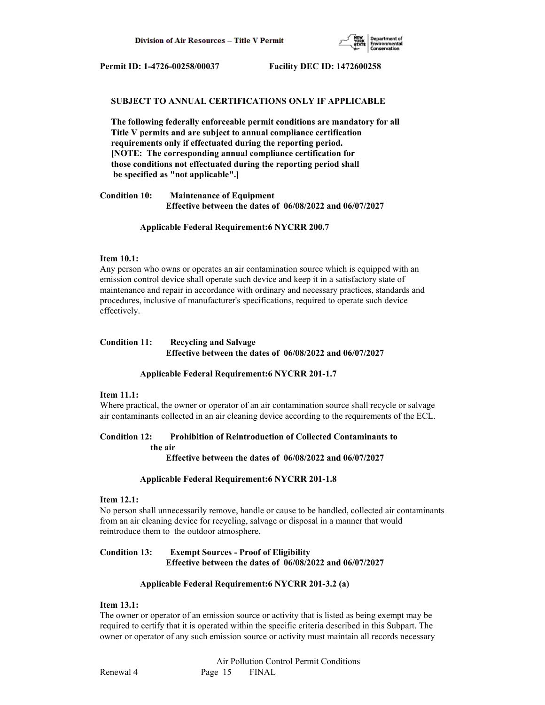

#### **SUBJECT TO ANNUAL CERTIFICATIONS ONLY IF APPLICABLE**

 **The following federally enforceable permit conditions are mandatory for all Title V permits and are subject to annual compliance certification requirements only if effectuated during the reporting period. [NOTE: The corresponding annual compliance certification for those conditions not effectuated during the reporting period shall be specified as "not applicable".]**

**Condition 10: Maintenance of Equipment Effective between the dates of 06/08/2022 and 06/07/2027**

#### **Applicable Federal Requirement:6 NYCRR 200.7**

#### **Item 10.1:**

Any person who owns or operates an air contamination source which is equipped with an emission control device shall operate such device and keep it in a satisfactory state of maintenance and repair in accordance with ordinary and necessary practices, standards and procedures, inclusive of manufacturer's specifications, required to operate such device effectively.

# **Condition 11: Recycling and Salvage Effective between the dates of 06/08/2022 and 06/07/2027**

#### **Applicable Federal Requirement:6 NYCRR 201-1.7**

#### **Item 11.1:**

Where practical, the owner or operator of an air contamination source shall recycle or salvage air contaminants collected in an air cleaning device according to the requirements of the ECL.

#### **Condition 12: Prohibition of Reintroduction of Collected Contaminants to the air**

 **Effective between the dates of 06/08/2022 and 06/07/2027**

#### **Applicable Federal Requirement:6 NYCRR 201-1.8**

#### **Item 12.1:**

No person shall unnecessarily remove, handle or cause to be handled, collected air contaminants from an air cleaning device for recycling, salvage or disposal in a manner that would reintroduce them to the outdoor atmosphere.

## **Condition 13: Exempt Sources - Proof of Eligibility Effective between the dates of 06/08/2022 and 06/07/2027**

### **Applicable Federal Requirement:6 NYCRR 201-3.2 (a)**

### **Item 13.1:**

The owner or operator of an emission source or activity that is listed as being exempt may be required to certify that it is operated within the specific criteria described in this Subpart. The owner or operator of any such emission source or activity must maintain all records necessary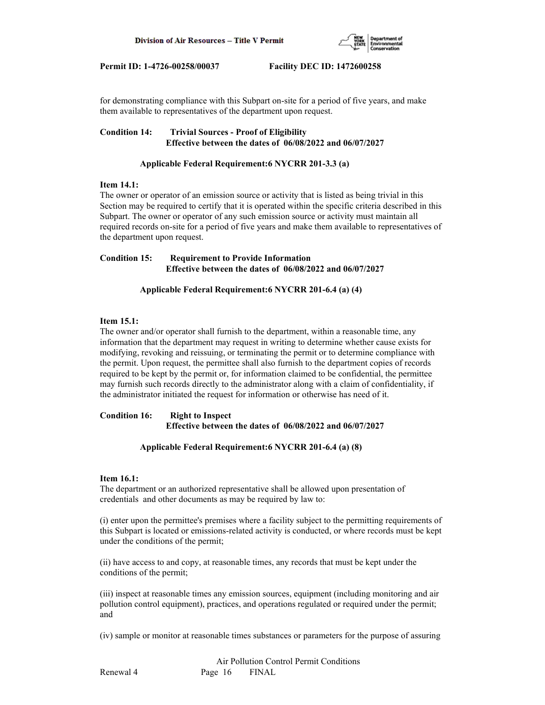

for demonstrating compliance with this Subpart on-site for a period of five years, and make them available to representatives of the department upon request.

## **Condition 14: Trivial Sources - Proof of Eligibility Effective between the dates of 06/08/2022 and 06/07/2027**

# **Applicable Federal Requirement:6 NYCRR 201-3.3 (a)**

## **Item 14.1:**

The owner or operator of an emission source or activity that is listed as being trivial in this Section may be required to certify that it is operated within the specific criteria described in this Subpart. The owner or operator of any such emission source or activity must maintain all required records on-site for a period of five years and make them available to representatives of the department upon request.

# **Condition 15: Requirement to Provide Information Effective between the dates of 06/08/2022 and 06/07/2027**

# **Applicable Federal Requirement:6 NYCRR 201-6.4 (a) (4)**

## **Item 15.1:**

The owner and/or operator shall furnish to the department, within a reasonable time, any information that the department may request in writing to determine whether cause exists for modifying, revoking and reissuing, or terminating the permit or to determine compliance with the permit. Upon request, the permittee shall also furnish to the department copies of records required to be kept by the permit or, for information claimed to be confidential, the permittee may furnish such records directly to the administrator along with a claim of confidentiality, if the administrator initiated the request for information or otherwise has need of it.

**Condition 16: Right to Inspect Effective between the dates of 06/08/2022 and 06/07/2027**

## **Applicable Federal Requirement:6 NYCRR 201-6.4 (a) (8)**

### **Item 16.1:**

The department or an authorized representative shall be allowed upon presentation of credentials and other documents as may be required by law to:

(i) enter upon the permittee's premises where a facility subject to the permitting requirements of this Subpart is located or emissions-related activity is conducted, or where records must be kept under the conditions of the permit;

(ii) have access to and copy, at reasonable times, any records that must be kept under the conditions of the permit;

(iii) inspect at reasonable times any emission sources, equipment (including monitoring and air pollution control equipment), practices, and operations regulated or required under the permit; and

(iv) sample or monitor at reasonable times substances or parameters for the purpose of assuring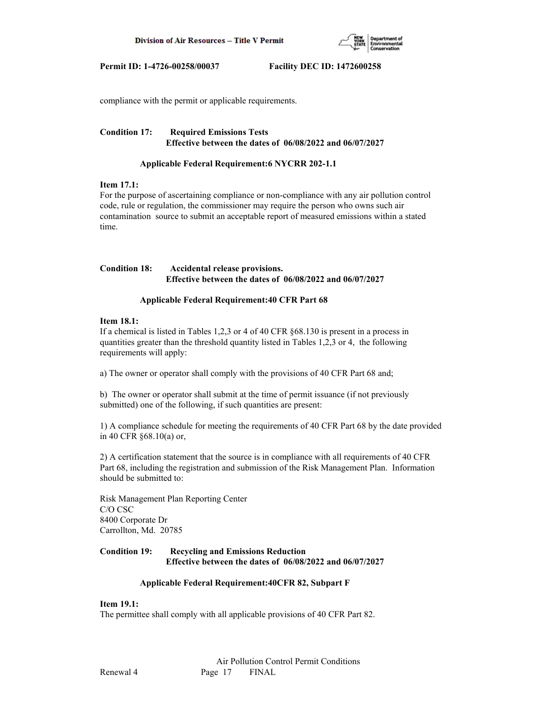

compliance with the permit or applicable requirements.

## **Condition 17: Required Emissions Tests Effective between the dates of 06/08/2022 and 06/07/2027**

# **Applicable Federal Requirement:6 NYCRR 202-1.1**

## **Item 17.1:**

For the purpose of ascertaining compliance or non-compliance with any air pollution control code, rule or regulation, the commissioner may require the person who owns such air contamination source to submit an acceptable report of measured emissions within a stated time.

# **Condition 18: Accidental release provisions. Effective between the dates of 06/08/2022 and 06/07/2027**

## **Applicable Federal Requirement:40 CFR Part 68**

### **Item 18.1:**

If a chemical is listed in Tables 1,2,3 or 4 of 40 CFR §68.130 is present in a process in quantities greater than the threshold quantity listed in Tables 1,2,3 or 4, the following requirements will apply:

a) The owner or operator shall comply with the provisions of 40 CFR Part 68 and;

b) The owner or operator shall submit at the time of permit issuance (if not previously submitted) one of the following, if such quantities are present:

1) A compliance schedule for meeting the requirements of 40 CFR Part 68 by the date provided in 40 CFR §68.10(a) or,

2) A certification statement that the source is in compliance with all requirements of 40 CFR Part 68, including the registration and submission of the Risk Management Plan. Information should be submitted to:

Risk Management Plan Reporting Center C/O CSC 8400 Corporate Dr Carrollton, Md. 20785

# **Condition 19: Recycling and Emissions Reduction Effective between the dates of 06/08/2022 and 06/07/2027**

### **Applicable Federal Requirement:40CFR 82, Subpart F**

### **Item 19.1:**

The permittee shall comply with all applicable provisions of 40 CFR Part 82.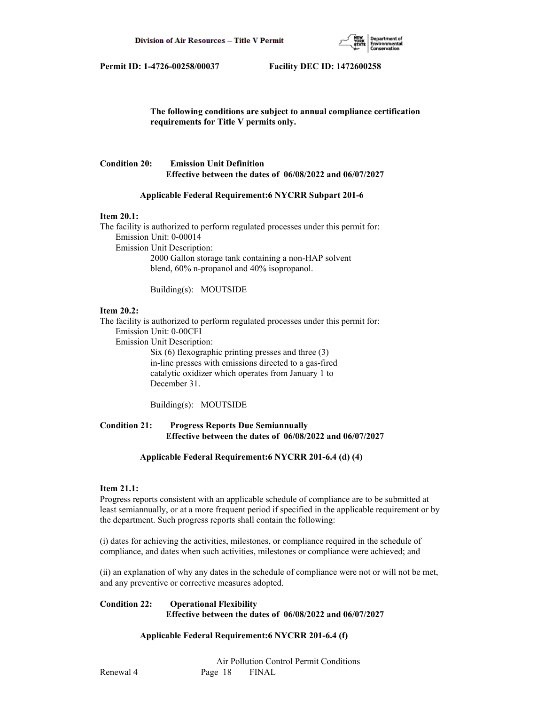

 **The following conditions are subject to annual compliance certification requirements for Title V permits only.**

# **Condition 20: Emission Unit Definition Effective between the dates of 06/08/2022 and 06/07/2027**

### **Applicable Federal Requirement:6 NYCRR Subpart 201-6**

#### **Item 20.1:**

The facility is authorized to perform regulated processes under this permit for: Emission Unit: 0-00014 Emission Unit Description: 2000 Gallon storage tank containing a non-HAP solvent blend, 60% n-propanol and 40% isopropanol.

Building(s): MOUTSIDE

### **Item 20.2:**

The facility is authorized to perform regulated processes under this permit for: Emission Unit: 0-00CFI

Emission Unit Description:

 Six (6) flexographic printing presses and three (3) in-line presses with emissions directed to a gas-fired catalytic oxidizer which operates from January 1 to December 31.

Building(s): MOUTSIDE

# **Condition 21: Progress Reports Due Semiannually Effective between the dates of 06/08/2022 and 06/07/2027**

#### **Applicable Federal Requirement:6 NYCRR 201-6.4 (d) (4)**

#### **Item 21.1:**

Progress reports consistent with an applicable schedule of compliance are to be submitted at least semiannually, or at a more frequent period if specified in the applicable requirement or by the department. Such progress reports shall contain the following:

(i) dates for achieving the activities, milestones, or compliance required in the schedule of compliance, and dates when such activities, milestones or compliance were achieved; and

(ii) an explanation of why any dates in the schedule of compliance were not or will not be met, and any preventive or corrective measures adopted.

## **Condition 22: Operational Flexibility Effective between the dates of 06/08/2022 and 06/07/2027**

### **Applicable Federal Requirement:6 NYCRR 201-6.4 (f)**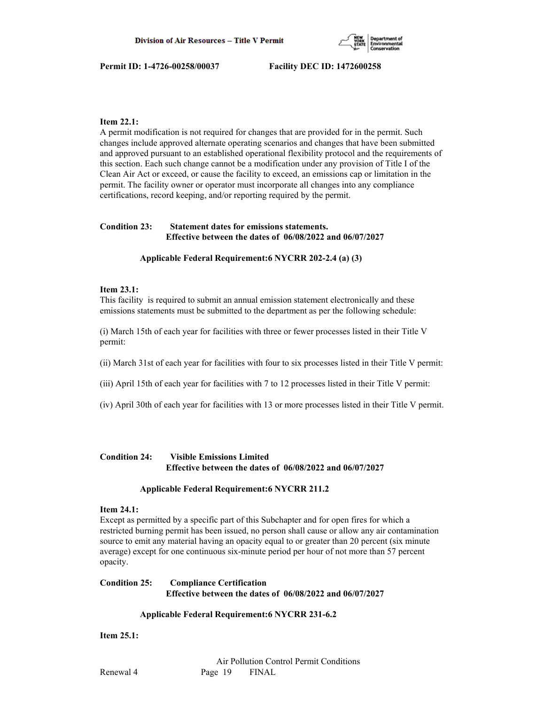

# **Item 22.1:**

A permit modification is not required for changes that are provided for in the permit. Such changes include approved alternate operating scenarios and changes that have been submitted and approved pursuant to an established operational flexibility protocol and the requirements of this section. Each such change cannot be a modification under any provision of Title I of the Clean Air Act or exceed, or cause the facility to exceed, an emissions cap or limitation in the permit. The facility owner or operator must incorporate all changes into any compliance certifications, record keeping, and/or reporting required by the permit.

# **Condition 23: Statement dates for emissions statements. Effective between the dates of 06/08/2022 and 06/07/2027**

### **Applicable Federal Requirement:6 NYCRR 202-2.4 (a) (3)**

## **Item 23.1:**

This facility is required to submit an annual emission statement electronically and these emissions statements must be submitted to the department as per the following schedule:

(i) March 15th of each year for facilities with three or fewer processes listed in their Title V permit:

- (ii) March 31st of each year for facilities with four to six processes listed in their Title V permit:
- (iii) April 15th of each year for facilities with 7 to 12 processes listed in their Title V permit:
- (iv) April 30th of each year for facilities with 13 or more processes listed in their Title V permit.

# **Condition 24: Visible Emissions Limited Effective between the dates of 06/08/2022 and 06/07/2027**

### **Applicable Federal Requirement:6 NYCRR 211.2**

### **Item 24.1:**

Except as permitted by a specific part of this Subchapter and for open fires for which a restricted burning permit has been issued, no person shall cause or allow any air contamination source to emit any material having an opacity equal to or greater than 20 percent (six minute average) except for one continuous six-minute period per hour of not more than 57 percent opacity.

# **Condition 25: Compliance Certification Effective between the dates of 06/08/2022 and 06/07/2027**

### **Applicable Federal Requirement:6 NYCRR 231-6.2**

**Item 25.1:**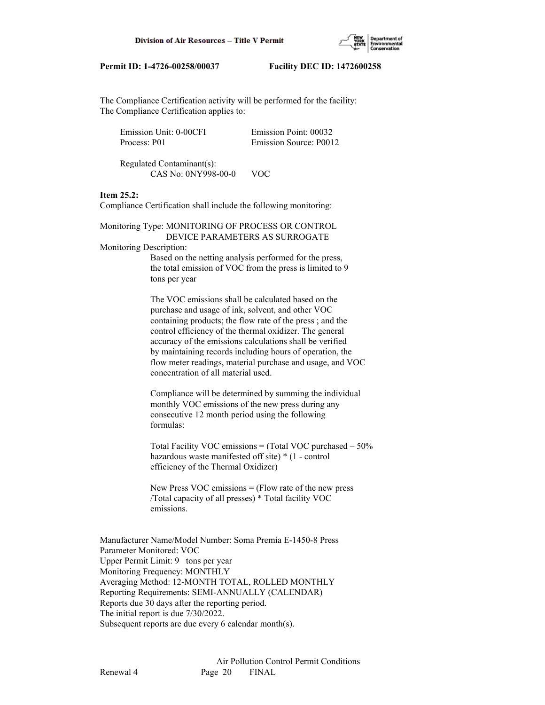

The Compliance Certification activity will be performed for the facility: The Compliance Certification applies to:

| Emission Unit: 0-00CFI | Emission Point: 00032  |
|------------------------|------------------------|
| Process: P01           | Emission Source: P0012 |

 Regulated Contaminant(s): CAS No: 0NY998-00-0 VOC

# **Item 25.2:**

Compliance Certification shall include the following monitoring:

Monitoring Type: MONITORING OF PROCESS OR CONTROL DEVICE PARAMETERS AS SURROGATE

## Monitoring Description:

 Based on the netting analysis performed for the press, the total emission of VOC from the press is limited to 9 tons per year

 The VOC emissions shall be calculated based on the purchase and usage of ink, solvent, and other VOC containing products; the flow rate of the press ; and the control efficiency of the thermal oxidizer. The general accuracy of the emissions calculations shall be verified by maintaining records including hours of operation, the flow meter readings, material purchase and usage, and VOC concentration of all material used.

 Compliance will be determined by summing the individual monthly VOC emissions of the new press during any consecutive 12 month period using the following formulas:

 Total Facility VOC emissions = (Total VOC purchased – 50% hazardous waste manifested off site) \* (1 - control efficiency of the Thermal Oxidizer)

New Press VOC emissions  $=$  (Flow rate of the new press /Total capacity of all presses) \* Total facility VOC emissions.

Manufacturer Name/Model Number: Soma Premia E-1450-8 Press Parameter Monitored: VOC Upper Permit Limit: 9 tons per year Monitoring Frequency: MONTHLY Averaging Method: 12-MONTH TOTAL, ROLLED MONTHLY Reporting Requirements: SEMI-ANNUALLY (CALENDAR) Reports due 30 days after the reporting period. The initial report is due 7/30/2022. Subsequent reports are due every 6 calendar month(s).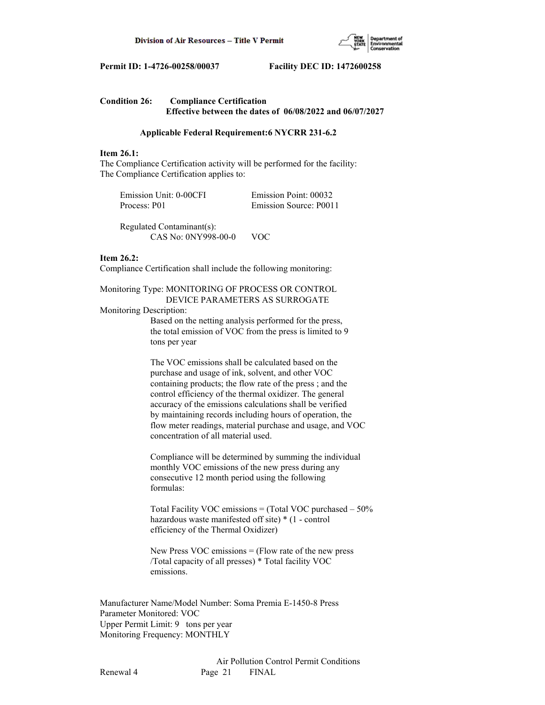

| <b>Condition 26:</b> | <b>Compliance Certification</b>                              |  |  |
|----------------------|--------------------------------------------------------------|--|--|
|                      | Effective between the dates of $06/08/2022$ and $06/07/2027$ |  |  |

#### **Applicable Federal Requirement:6 NYCRR 231-6.2**

#### **Item 26.1:**

The Compliance Certification activity will be performed for the facility: The Compliance Certification applies to:

| Emission Unit: 0-00CFI | Emission Point: 00032  |
|------------------------|------------------------|
| Process: P01           | Emission Source: P0011 |

 Regulated Contaminant(s): CAS No: 0NY998-00-0 VOC

## **Item 26.2:**

Compliance Certification shall include the following monitoring:

Monitoring Type: MONITORING OF PROCESS OR CONTROL DEVICE PARAMETERS AS SURROGATE

#### Monitoring Description:

 Based on the netting analysis performed for the press, the total emission of VOC from the press is limited to 9 tons per year

 The VOC emissions shall be calculated based on the purchase and usage of ink, solvent, and other VOC containing products; the flow rate of the press ; and the control efficiency of the thermal oxidizer. The general accuracy of the emissions calculations shall be verified by maintaining records including hours of operation, the flow meter readings, material purchase and usage, and VOC concentration of all material used.

 Compliance will be determined by summing the individual monthly VOC emissions of the new press during any consecutive 12 month period using the following formulas:

 Total Facility VOC emissions = (Total VOC purchased – 50% hazardous waste manifested off site) \* (1 - control efficiency of the Thermal Oxidizer)

New Press VOC emissions  $=$  (Flow rate of the new press /Total capacity of all presses) \* Total facility VOC emissions.

Manufacturer Name/Model Number: Soma Premia E-1450-8 Press Parameter Monitored: VOC Upper Permit Limit: 9 tons per year Monitoring Frequency: MONTHLY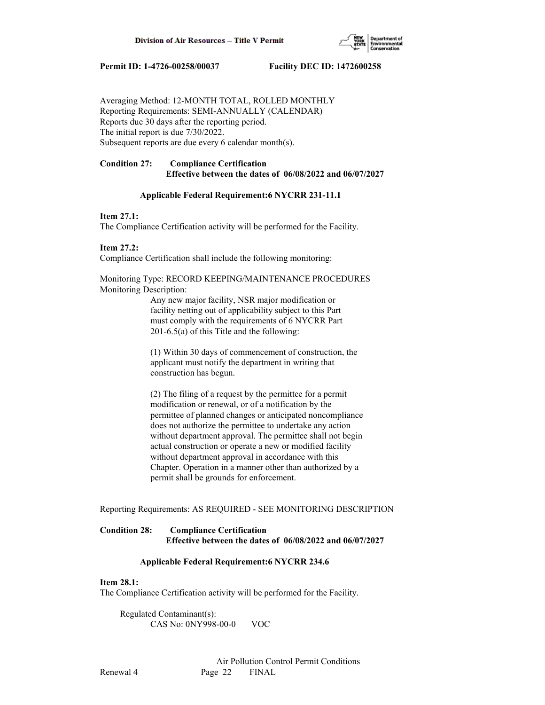

Averaging Method: 12-MONTH TOTAL, ROLLED MONTHLY Reporting Requirements: SEMI-ANNUALLY (CALENDAR) Reports due 30 days after the reporting period. The initial report is due 7/30/2022. Subsequent reports are due every 6 calendar month(s).

# **Condition 27: Compliance Certification Effective between the dates of 06/08/2022 and 06/07/2027**

### **Applicable Federal Requirement:6 NYCRR 231-11.1**

## **Item 27.1:**

The Compliance Certification activity will be performed for the Facility.

**Item 27.2:** Compliance Certification shall include the following monitoring:

Monitoring Type: RECORD KEEPING/MAINTENANCE PROCEDURES Monitoring Description:

> Any new major facility, NSR major modification or facility netting out of applicability subject to this Part must comply with the requirements of 6 NYCRR Part 201-6.5(a) of this Title and the following:

 (1) Within 30 days of commencement of construction, the applicant must notify the department in writing that construction has begun.

 (2) The filing of a request by the permittee for a permit modification or renewal, or of a notification by the permittee of planned changes or anticipated noncompliance does not authorize the permittee to undertake any action without department approval. The permittee shall not begin actual construction or operate a new or modified facility without department approval in accordance with this Chapter. Operation in a manner other than authorized by a permit shall be grounds for enforcement.

Reporting Requirements: AS REQUIRED - SEE MONITORING DESCRIPTION

# **Condition 28: Compliance Certification Effective between the dates of 06/08/2022 and 06/07/2027**

### **Applicable Federal Requirement:6 NYCRR 234.6**

## **Item 28.1:**

The Compliance Certification activity will be performed for the Facility.

 Regulated Contaminant(s): CAS No: 0NY998-00-0 VOC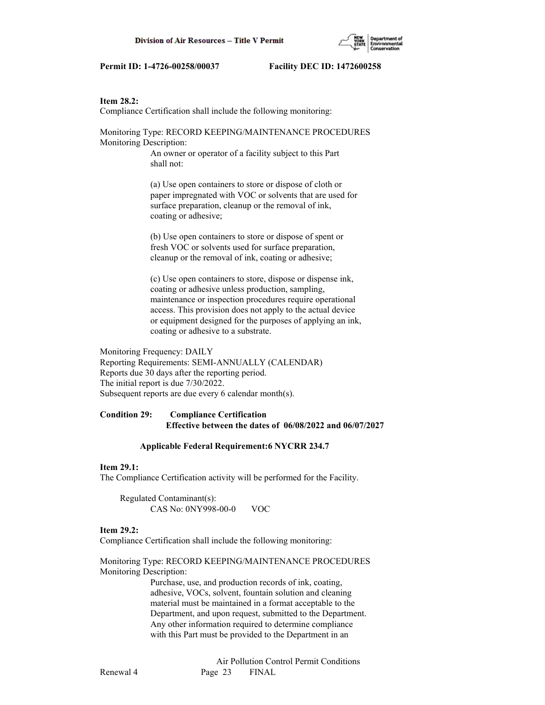## **Item 28.2:**

Compliance Certification shall include the following monitoring:

Monitoring Type: RECORD KEEPING/MAINTENANCE PROCEDURES Monitoring Description:

> An owner or operator of a facility subject to this Part shall not:

 (a) Use open containers to store or dispose of cloth or paper impregnated with VOC or solvents that are used for surface preparation, cleanup or the removal of ink, coating or adhesive;

 (b) Use open containers to store or dispose of spent or fresh VOC or solvents used for surface preparation, cleanup or the removal of ink, coating or adhesive;

 (c) Use open containers to store, dispose or dispense ink, coating or adhesive unless production, sampling, maintenance or inspection procedures require operational access. This provision does not apply to the actual device or equipment designed for the purposes of applying an ink, coating or adhesive to a substrate.

Monitoring Frequency: DAILY Reporting Requirements: SEMI-ANNUALLY (CALENDAR) Reports due 30 days after the reporting period. The initial report is due 7/30/2022. Subsequent reports are due every 6 calendar month(s).

## **Condition 29: Compliance Certification Effective between the dates of 06/08/2022 and 06/07/2027**

#### **Applicable Federal Requirement:6 NYCRR 234.7**

#### **Item 29.1:**

The Compliance Certification activity will be performed for the Facility.

 Regulated Contaminant(s): CAS No: 0NY998-00-0 VOC

## **Item 29.2:**

Compliance Certification shall include the following monitoring:

Monitoring Type: RECORD KEEPING/MAINTENANCE PROCEDURES Monitoring Description:

> Purchase, use, and production records of ink, coating, adhesive, VOCs, solvent, fountain solution and cleaning material must be maintained in a format acceptable to the Department, and upon request, submitted to the Department. Any other information required to determine compliance with this Part must be provided to the Department in an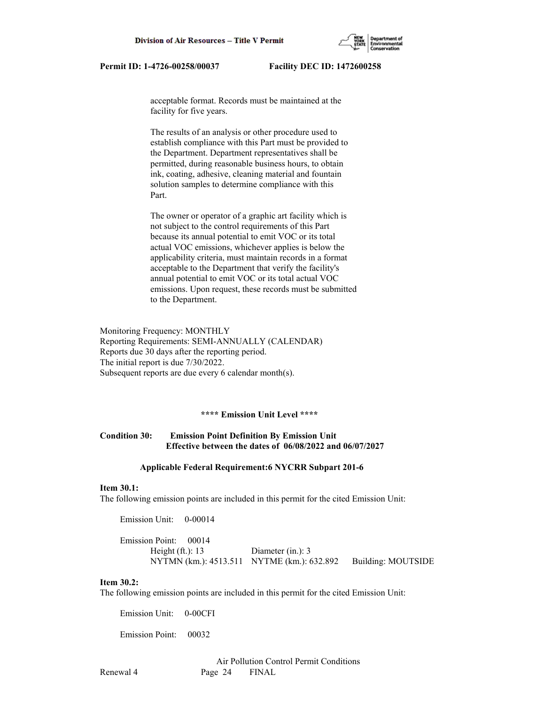

 acceptable format. Records must be maintained at the facility for five years.

 The results of an analysis or other procedure used to establish compliance with this Part must be provided to the Department. Department representatives shall be permitted, during reasonable business hours, to obtain ink, coating, adhesive, cleaning material and fountain solution samples to determine compliance with this Part.

 The owner or operator of a graphic art facility which is not subject to the control requirements of this Part because its annual potential to emit VOC or its total actual VOC emissions, whichever applies is below the applicability criteria, must maintain records in a format acceptable to the Department that verify the facility's annual potential to emit VOC or its total actual VOC emissions. Upon request, these records must be submitted to the Department.

Monitoring Frequency: MONTHLY Reporting Requirements: SEMI-ANNUALLY (CALENDAR) Reports due 30 days after the reporting period. The initial report is due 7/30/2022. Subsequent reports are due every 6 calendar month(s).

#### **\*\*\*\* Emission Unit Level \*\*\*\***

# **Condition 30: Emission Point Definition By Emission Unit Effective between the dates of 06/08/2022 and 06/07/2027**

#### **Applicable Federal Requirement:6 NYCRR Subpart 201-6**

#### **Item 30.1:**

The following emission points are included in this permit for the cited Emission Unit:

Emission Unit: 0-00014

| Emission Point: 00014 |                                                               |  |
|-----------------------|---------------------------------------------------------------|--|
| Height $(ft.): 13$    | Diameter $(in.)$ : 3                                          |  |
|                       | NYTMN (km.): 4513.511 NYTME (km.): 632.892 Building: MOUTSIDE |  |

#### **Item 30.2:**

The following emission points are included in this permit for the cited Emission Unit:

Emission Unit: 0-00CFI

Emission Point: 00032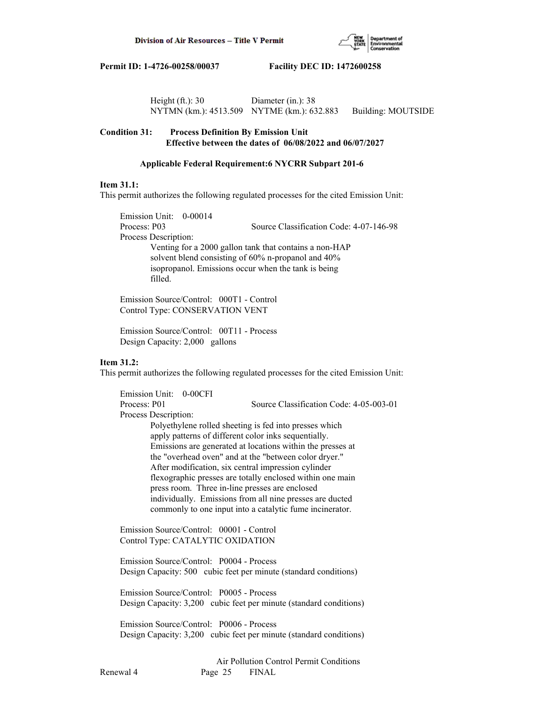

| Height $(ft.)$ : 30                        | Diameter $(in.)$ : 38 |                    |
|--------------------------------------------|-----------------------|--------------------|
| NYTMN (km.): 4513.509 NYTME (km.): 632.883 |                       | Building: MOUTSIDE |

## **Condition 31: Process Definition By Emission Unit Effective between the dates of 06/08/2022 and 06/07/2027**

#### **Applicable Federal Requirement:6 NYCRR Subpart 201-6**

#### **Item 31.1:**

This permit authorizes the following regulated processes for the cited Emission Unit:

 Emission Unit: 0-00014 Process: P03 Source Classification Code: 4-07-146-98 Process Description: Venting for a 2000 gallon tank that contains a non-HAP solvent blend consisting of 60% n-propanol and 40% isopropanol. Emissions occur when the tank is being filled.

 Emission Source/Control: 000T1 - Control Control Type: CONSERVATION VENT

 Emission Source/Control: 00T11 - Process Design Capacity: 2,000 gallons

## **Item 31.2:**

This permit authorizes the following regulated processes for the cited Emission Unit:

 Emission Unit: 0-00CFI Process: P01 Source Classification Code: 4-05-003-01 Process Description: Polyethylene rolled sheeting is fed into presses which apply patterns of different color inks sequentially. Emissions are generated at locations within the presses at the "overhead oven" and at the "between color dryer." After modification, six central impression cylinder flexographic presses are totally enclosed within one main press room. Three in-line presses are enclosed individually. Emissions from all nine presses are ducted commonly to one input into a catalytic fume incinerator. Emission Source/Control: 00001 - Control Control Type: CATALYTIC OXIDATION

 Emission Source/Control: P0004 - Process Design Capacity: 500 cubic feet per minute (standard conditions)

 Emission Source/Control: P0005 - Process Design Capacity: 3,200 cubic feet per minute (standard conditions)

 Emission Source/Control: P0006 - Process Design Capacity: 3,200 cubic feet per minute (standard conditions)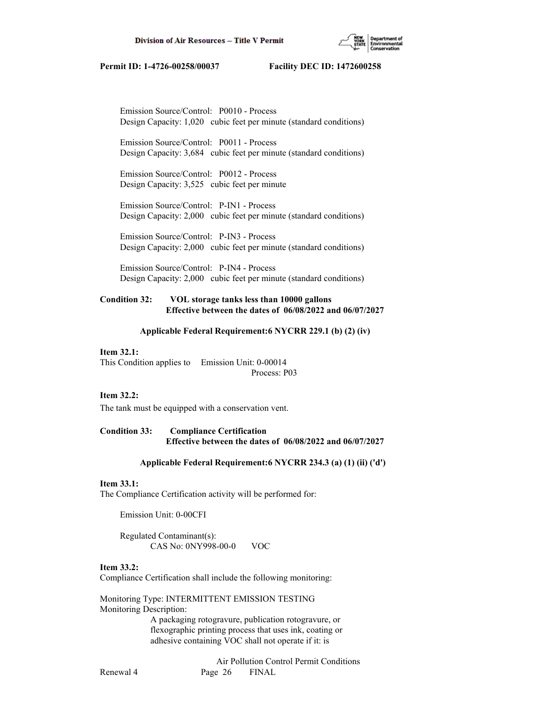

 Emission Source/Control: P0010 - Process Design Capacity: 1,020 cubic feet per minute (standard conditions)

 Emission Source/Control: P0011 - Process Design Capacity: 3,684 cubic feet per minute (standard conditions)

 Emission Source/Control: P0012 - Process Design Capacity: 3,525 cubic feet per minute

 Emission Source/Control: P-IN1 - Process Design Capacity: 2,000 cubic feet per minute (standard conditions)

 Emission Source/Control: P-IN3 - Process Design Capacity: 2,000 cubic feet per minute (standard conditions)

 Emission Source/Control: P-IN4 - Process Design Capacity: 2,000 cubic feet per minute (standard conditions)

## **Condition 32: VOL storage tanks less than 10000 gallons Effective between the dates of 06/08/2022 and 06/07/2027**

#### **Applicable Federal Requirement:6 NYCRR 229.1 (b) (2) (iv)**

#### **Item 32.1:**

This Condition applies to Emission Unit: 0-00014 Process: P03

#### **Item 32.2:**

The tank must be equipped with a conservation vent.

**Condition 33: Compliance Certification Effective between the dates of 06/08/2022 and 06/07/2027**

#### **Applicable Federal Requirement:6 NYCRR 234.3 (a) (1) (ii) ('d')**

#### **Item 33.1:**

The Compliance Certification activity will be performed for:

Emission Unit: 0-00CFI

 Regulated Contaminant(s): CAS No: 0NY998-00-0 VOC

# **Item 33.2:**

Compliance Certification shall include the following monitoring:

Monitoring Type: INTERMITTENT EMISSION TESTING Monitoring Description:

 A packaging rotogravure, publication rotogravure, or flexographic printing process that uses ink, coating or adhesive containing VOC shall not operate if it: is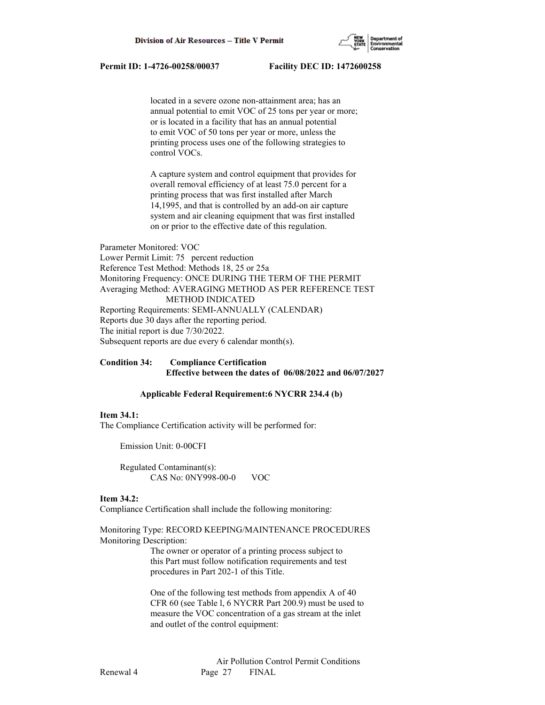

 located in a severe ozone non-attainment area; has an annual potential to emit VOC of 25 tons per year or more; or is located in a facility that has an annual potential to emit VOC of 50 tons per year or more, unless the printing process uses one of the following strategies to control VOCs.

 A capture system and control equipment that provides for overall removal efficiency of at least 75.0 percent for a printing process that was first installed after March 14,1995, and that is controlled by an add-on air capture system and air cleaning equipment that was first installed on or prior to the effective date of this regulation.

Parameter Monitored: VOC Lower Permit Limit: 75 percent reduction Reference Test Method: Methods 18, 25 or 25a Monitoring Frequency: ONCE DURING THE TERM OF THE PERMIT Averaging Method: AVERAGING METHOD AS PER REFERENCE TEST METHOD INDICATED Reporting Requirements: SEMI-ANNUALLY (CALENDAR) Reports due 30 days after the reporting period. The initial report is due 7/30/2022. Subsequent reports are due every 6 calendar month(s).

# **Condition 34: Compliance Certification Effective between the dates of 06/08/2022 and 06/07/2027**

### **Applicable Federal Requirement:6 NYCRR 234.4 (b)**

#### **Item 34.1:**

The Compliance Certification activity will be performed for:

Emission Unit: 0-00CFI

 Regulated Contaminant(s): CAS No: 0NY998-00-0 VOC

### **Item 34.2:**

Compliance Certification shall include the following monitoring:

Monitoring Type: RECORD KEEPING/MAINTENANCE PROCEDURES Monitoring Description:

> The owner or operator of a printing process subject to this Part must follow notification requirements and test procedures in Part 202-1 of this Title.

 One of the following test methods from appendix A of 40 CFR 60 (see Table l, 6 NYCRR Part 200.9) must be used to measure the VOC concentration of a gas stream at the inlet and outlet of the control equipment: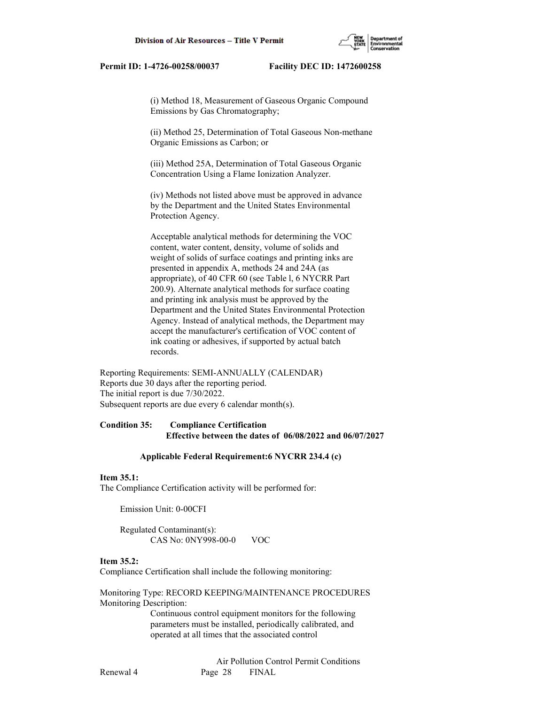(i) Method 18, Measurement of Gaseous Organic Compound Emissions by Gas Chromatography;

 (ii) Method 25, Determination of Total Gaseous Non-methane Organic Emissions as Carbon; or

 (iii) Method 25A, Determination of Total Gaseous Organic Concentration Using a Flame Ionization Analyzer.

 (iv) Methods not listed above must be approved in advance by the Department and the United States Environmental Protection Agency.

 Acceptable analytical methods for determining the VOC content, water content, density, volume of solids and weight of solids of surface coatings and printing inks are presented in appendix A, methods 24 and 24A (as appropriate), of 40 CFR 60 (see Table l, 6 NYCRR Part 200.9). Alternate analytical methods for surface coating and printing ink analysis must be approved by the Department and the United States Environmental Protection Agency. Instead of analytical methods, the Department may accept the manufacturer's certification of VOC content of ink coating or adhesives, if supported by actual batch records.

Reporting Requirements: SEMI-ANNUALLY (CALENDAR) Reports due 30 days after the reporting period. The initial report is due 7/30/2022. Subsequent reports are due every 6 calendar month(s).

## **Condition 35: Compliance Certification Effective between the dates of 06/08/2022 and 06/07/2027**

#### **Applicable Federal Requirement:6 NYCRR 234.4 (c)**

#### **Item 35.1:**

The Compliance Certification activity will be performed for:

Emission Unit: 0-00CFI

 Regulated Contaminant(s): CAS No: 0NY998-00-0 VOC

### **Item 35.2:**

Compliance Certification shall include the following monitoring:

Monitoring Type: RECORD KEEPING/MAINTENANCE PROCEDURES Monitoring Description:

> Continuous control equipment monitors for the following parameters must be installed, periodically calibrated, and operated at all times that the associated control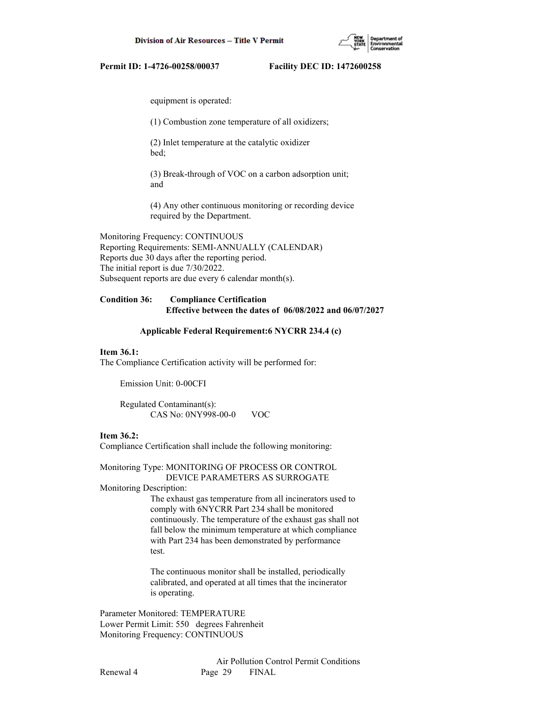(1) Combustion zone temperature of all oxidizers;

 (2) Inlet temperature at the catalytic oxidizer bed;

 (3) Break-through of VOC on a carbon adsorption unit; and

 (4) Any other continuous monitoring or recording device required by the Department.

Monitoring Frequency: CONTINUOUS Reporting Requirements: SEMI-ANNUALLY (CALENDAR) Reports due 30 days after the reporting period. The initial report is due 7/30/2022. Subsequent reports are due every 6 calendar month(s).

# **Condition 36: Compliance Certification Effective between the dates of 06/08/2022 and 06/07/2027**

#### **Applicable Federal Requirement:6 NYCRR 234.4 (c)**

#### **Item 36.1:**

The Compliance Certification activity will be performed for:

Emission Unit: 0-00CFI

 Regulated Contaminant(s): CAS No: 0NY998-00-0 VOC

## **Item 36.2:**

Compliance Certification shall include the following monitoring:

Monitoring Type: MONITORING OF PROCESS OR CONTROL DEVICE PARAMETERS AS SURROGATE

Monitoring Description:

 The exhaust gas temperature from all incinerators used to comply with 6NYCRR Part 234 shall be monitored continuously. The temperature of the exhaust gas shall not fall below the minimum temperature at which compliance with Part 234 has been demonstrated by performance test.

 The continuous monitor shall be installed, periodically calibrated, and operated at all times that the incinerator is operating.

Parameter Monitored: TEMPERATURE Lower Permit Limit: 550 degrees Fahrenheit Monitoring Frequency: CONTINUOUS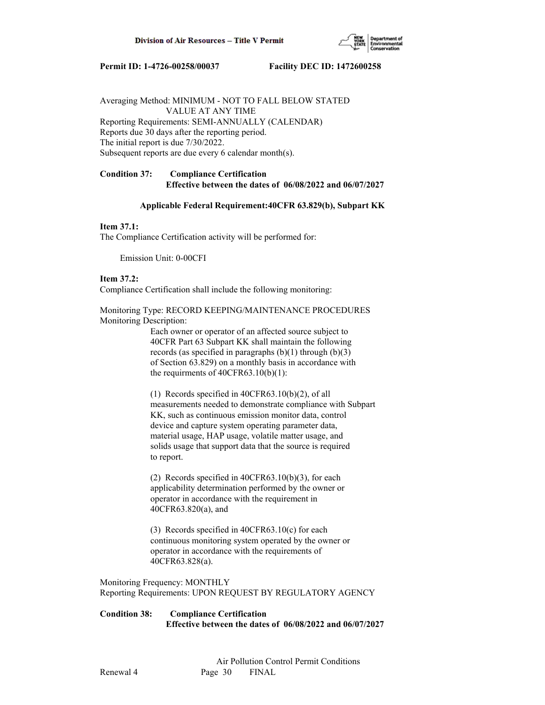

Averaging Method: MINIMUM - NOT TO FALL BELOW STATED VALUE AT ANY TIME Reporting Requirements: SEMI-ANNUALLY (CALENDAR) Reports due 30 days after the reporting period. The initial report is due 7/30/2022. Subsequent reports are due every 6 calendar month(s).

# **Condition 37: Compliance Certification Effective between the dates of 06/08/2022 and 06/07/2027**

## **Applicable Federal Requirement:40CFR 63.829(b), Subpart KK**

#### **Item 37.1:**

The Compliance Certification activity will be performed for:

Emission Unit: 0-00CFI

### **Item 37.2:**

Compliance Certification shall include the following monitoring:

Monitoring Type: RECORD KEEPING/MAINTENANCE PROCEDURES Monitoring Description:

> Each owner or operator of an affected source subject to 40CFR Part 63 Subpart KK shall maintain the following records (as specified in paragraphs  $(b)(1)$  through  $(b)(3)$  of Section 63.829) on a monthly basis in accordance with the requirments of  $40CFR63.10(b)(1)$ :

 (1) Records specified in 40CFR63.10(b)(2), of all measurements needed to demonstrate compliance with Subpart KK, such as continuous emission monitor data, control device and capture system operating parameter data, material usage, HAP usage, volatile matter usage, and solids usage that support data that the source is required to report.

 (2) Records specified in 40CFR63.10(b)(3), for each applicability determination performed by the owner or operator in accordance with the requirement in 40CFR63.820(a), and

 (3) Records specified in 40CFR63.10(c) for each continuous monitoring system operated by the owner or operator in accordance with the requirements of 40CFR63.828(a).

Monitoring Frequency: MONTHLY Reporting Requirements: UPON REQUEST BY REGULATORY AGENCY

**Condition 38: Compliance Certification Effective between the dates of 06/08/2022 and 06/07/2027**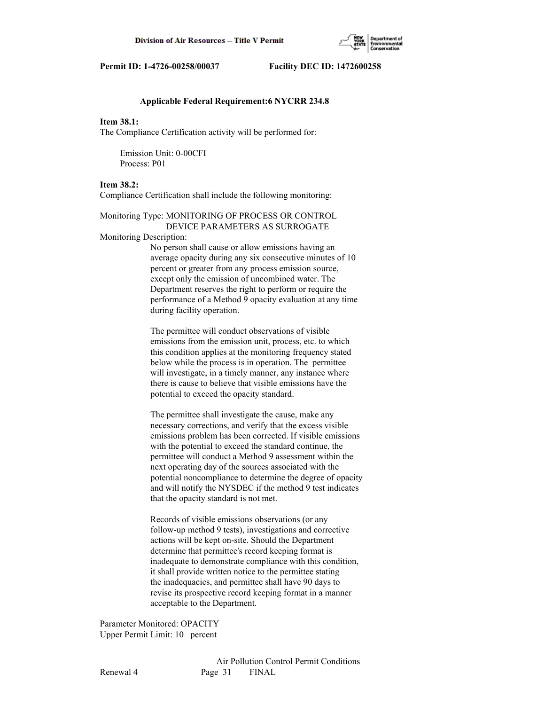

#### **Applicable Federal Requirement:6 NYCRR 234.8**

#### **Item 38.1:**

The Compliance Certification activity will be performed for:

 Emission Unit: 0-00CFI Process: P01

#### **Item 38.2:**

Compliance Certification shall include the following monitoring:

Monitoring Type: MONITORING OF PROCESS OR CONTROL DEVICE PARAMETERS AS SURROGATE

Monitoring Description:

 No person shall cause or allow emissions having an average opacity during any six consecutive minutes of 10 percent or greater from any process emission source, except only the emission of uncombined water. The Department reserves the right to perform or require the performance of a Method 9 opacity evaluation at any time during facility operation.

 The permittee will conduct observations of visible emissions from the emission unit, process, etc. to which this condition applies at the monitoring frequency stated below while the process is in operation. The permittee will investigate, in a timely manner, any instance where there is cause to believe that visible emissions have the potential to exceed the opacity standard.

 The permittee shall investigate the cause, make any necessary corrections, and verify that the excess visible emissions problem has been corrected. If visible emissions with the potential to exceed the standard continue, the permittee will conduct a Method 9 assessment within the next operating day of the sources associated with the potential noncompliance to determine the degree of opacity and will notify the NYSDEC if the method 9 test indicates that the opacity standard is not met.

 Records of visible emissions observations (or any follow-up method 9 tests), investigations and corrective actions will be kept on-site. Should the Department determine that permittee's record keeping format is inadequate to demonstrate compliance with this condition, it shall provide written notice to the permittee stating the inadequacies, and permittee shall have 90 days to revise its prospective record keeping format in a manner acceptable to the Department.

Parameter Monitored: OPACITY Upper Permit Limit: 10 percent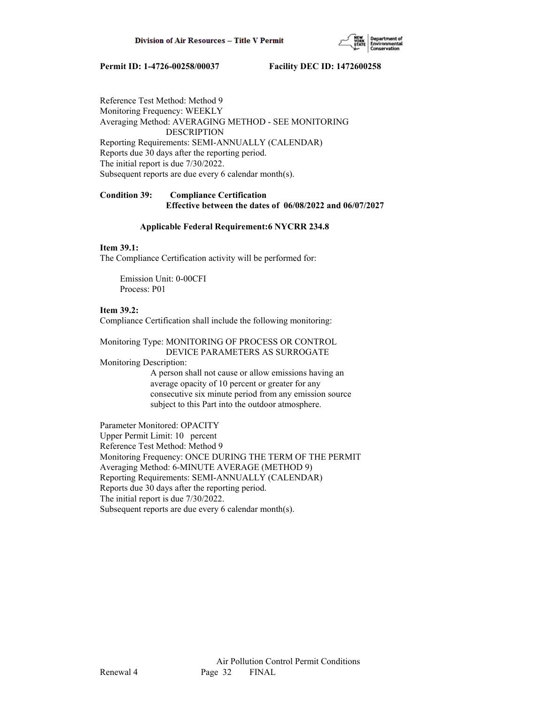

Reference Test Method: Method 9 Monitoring Frequency: WEEKLY Averaging Method: AVERAGING METHOD - SEE MONITORING DESCRIPTION Reporting Requirements: SEMI-ANNUALLY (CALENDAR) Reports due 30 days after the reporting period. The initial report is due 7/30/2022. Subsequent reports are due every 6 calendar month(s).

## **Condition 39: Compliance Certification Effective between the dates of 06/08/2022 and 06/07/2027**

### **Applicable Federal Requirement:6 NYCRR 234.8**

## **Item 39.1:**

The Compliance Certification activity will be performed for:

 Emission Unit: 0-00CFI Process: P01

## **Item 39.2:**

Compliance Certification shall include the following monitoring:

## Monitoring Type: MONITORING OF PROCESS OR CONTROL DEVICE PARAMETERS AS SURROGATE

Monitoring Description:

 A person shall not cause or allow emissions having an average opacity of 10 percent or greater for any consecutive six minute period from any emission source subject to this Part into the outdoor atmosphere.

Parameter Monitored: OPACITY Upper Permit Limit: 10 percent Reference Test Method: Method 9 Monitoring Frequency: ONCE DURING THE TERM OF THE PERMIT Averaging Method: 6-MINUTE AVERAGE (METHOD 9) Reporting Requirements: SEMI-ANNUALLY (CALENDAR) Reports due 30 days after the reporting period. The initial report is due 7/30/2022. Subsequent reports are due every 6 calendar month(s).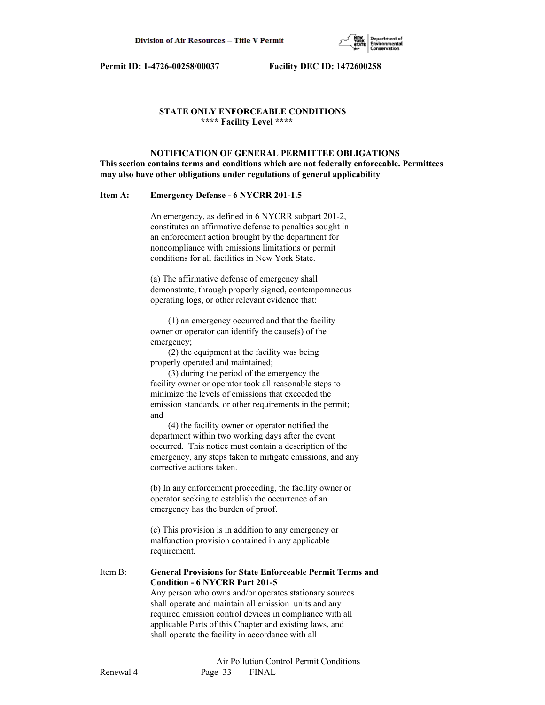

# **STATE ONLY ENFORCEABLE CONDITIONS \*\*\*\* Facility Level \*\*\*\***

 **NOTIFICATION OF GENERAL PERMITTEE OBLIGATIONS This section contains terms and conditions which are not federally enforceable. Permittees may also have other obligations under regulations of general applicability**

## **Item A: Emergency Defense - 6 NYCRR 201-1.5**

 An emergency, as defined in 6 NYCRR subpart 201-2, constitutes an affirmative defense to penalties sought in an enforcement action brought by the department for noncompliance with emissions limitations or permit conditions for all facilities in New York State.

 (a) The affirmative defense of emergency shall demonstrate, through properly signed, contemporaneous operating logs, or other relevant evidence that:

 (1) an emergency occurred and that the facility owner or operator can identify the cause(s) of the emergency;

 (2) the equipment at the facility was being properly operated and maintained;

 (3) during the period of the emergency the facility owner or operator took all reasonable steps to minimize the levels of emissions that exceeded the emission standards, or other requirements in the permit; and

 (4) the facility owner or operator notified the department within two working days after the event occurred. This notice must contain a description of the emergency, any steps taken to mitigate emissions, and any corrective actions taken.

 (b) In any enforcement proceeding, the facility owner or operator seeking to establish the occurrence of an emergency has the burden of proof.

 (c) This provision is in addition to any emergency or malfunction provision contained in any applicable requirement.

Item B: **General Provisions for State Enforceable Permit Terms and Condition - 6 NYCRR Part 201-5** Any person who owns and/or operates stationary sources shall operate and maintain all emission units and any required emission control devices in compliance with all

 applicable Parts of this Chapter and existing laws, and shall operate the facility in accordance with all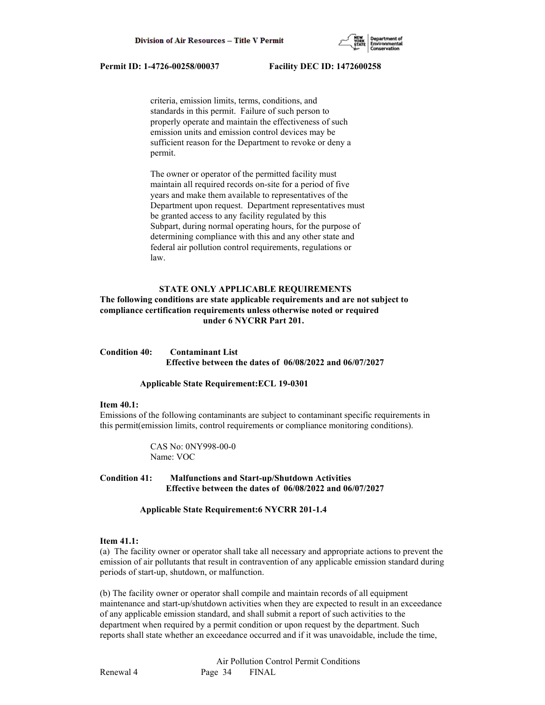

 criteria, emission limits, terms, conditions, and standards in this permit. Failure of such person to properly operate and maintain the effectiveness of such emission units and emission control devices may be sufficient reason for the Department to revoke or deny a permit.

 The owner or operator of the permitted facility must maintain all required records on-site for a period of five years and make them available to representatives of the Department upon request. Department representatives must be granted access to any facility regulated by this Subpart, during normal operating hours, for the purpose of determining compliance with this and any other state and federal air pollution control requirements, regulations or law.

## **STATE ONLY APPLICABLE REQUIREMENTS**

# **The following conditions are state applicable requirements and are not subject to compliance certification requirements unless otherwise noted or required under 6 NYCRR Part 201.**

# **Condition 40: Contaminant List Effective between the dates of 06/08/2022 and 06/07/2027**

#### **Applicable State Requirement:ECL 19-0301**

#### **Item 40.1:**

Emissions of the following contaminants are subject to contaminant specific requirements in this permit(emission limits, control requirements or compliance monitoring conditions).

> CAS No: 0NY998-00-0 Name: VOC

## **Condition 41: Malfunctions and Start-up/Shutdown Activities Effective between the dates of 06/08/2022 and 06/07/2027**

#### **Applicable State Requirement:6 NYCRR 201-1.4**

#### **Item 41.1:**

(a) The facility owner or operator shall take all necessary and appropriate actions to prevent the emission of air pollutants that result in contravention of any applicable emission standard during periods of start-up, shutdown, or malfunction.

(b) The facility owner or operator shall compile and maintain records of all equipment maintenance and start-up/shutdown activities when they are expected to result in an exceedance of any applicable emission standard, and shall submit a report of such activities to the department when required by a permit condition or upon request by the department. Such reports shall state whether an exceedance occurred and if it was unavoidable, include the time,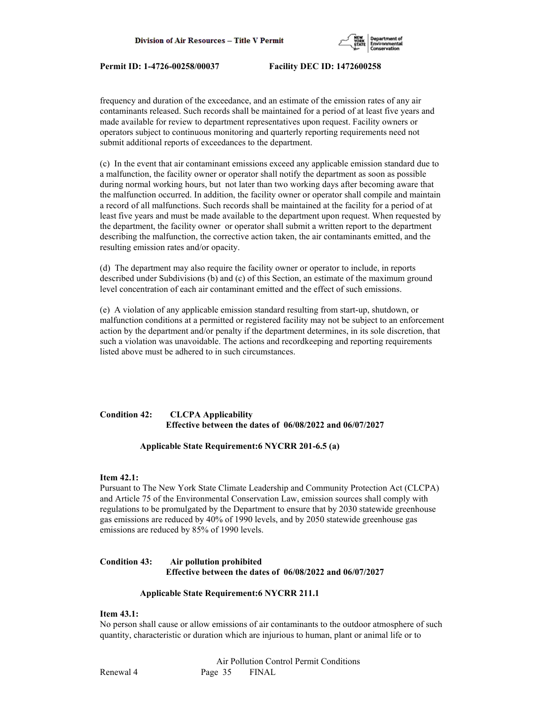

frequency and duration of the exceedance, and an estimate of the emission rates of any air contaminants released. Such records shall be maintained for a period of at least five years and made available for review to department representatives upon request. Facility owners or operators subject to continuous monitoring and quarterly reporting requirements need not submit additional reports of exceedances to the department.

(c) In the event that air contaminant emissions exceed any applicable emission standard due to a malfunction, the facility owner or operator shall notify the department as soon as possible during normal working hours, but not later than two working days after becoming aware that the malfunction occurred. In addition, the facility owner or operator shall compile and maintain a record of all malfunctions. Such records shall be maintained at the facility for a period of at least five years and must be made available to the department upon request. When requested by the department, the facility owner or operator shall submit a written report to the department describing the malfunction, the corrective action taken, the air contaminants emitted, and the resulting emission rates and/or opacity.

(d) The department may also require the facility owner or operator to include, in reports described under Subdivisions (b) and (c) of this Section, an estimate of the maximum ground level concentration of each air contaminant emitted and the effect of such emissions.

(e) A violation of any applicable emission standard resulting from start-up, shutdown, or malfunction conditions at a permitted or registered facility may not be subject to an enforcement action by the department and/or penalty if the department determines, in its sole discretion, that such a violation was unavoidable. The actions and recordkeeping and reporting requirements listed above must be adhered to in such circumstances.

# **Condition 42: CLCPA Applicability Effective between the dates of 06/08/2022 and 06/07/2027**

## **Applicable State Requirement:6 NYCRR 201-6.5 (a)**

### **Item 42.1:**

Pursuant to The New York State Climate Leadership and Community Protection Act (CLCPA) and Article 75 of the Environmental Conservation Law, emission sources shall comply with regulations to be promulgated by the Department to ensure that by 2030 statewide greenhouse gas emissions are reduced by 40% of 1990 levels, and by 2050 statewide greenhouse gas emissions are reduced by 85% of 1990 levels.

## **Condition 43: Air pollution prohibited Effective between the dates of 06/08/2022 and 06/07/2027**

#### **Applicable State Requirement:6 NYCRR 211.1**

# **Item 43.1:**

No person shall cause or allow emissions of air contaminants to the outdoor atmosphere of such quantity, characteristic or duration which are injurious to human, plant or animal life or to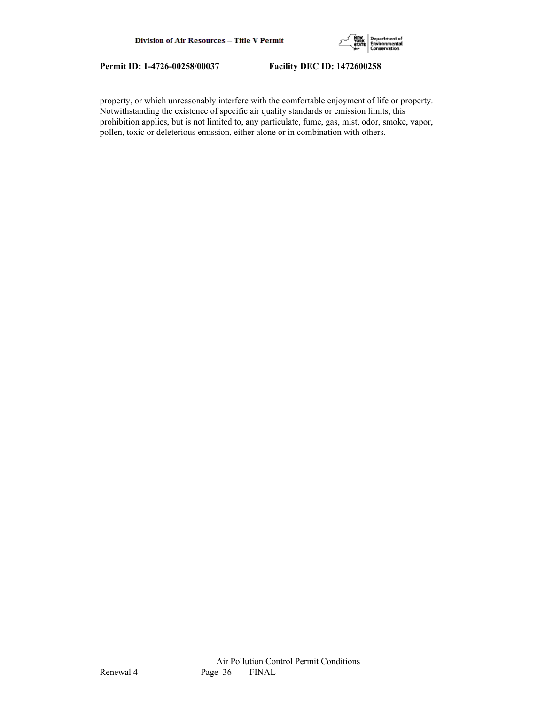

property, or which unreasonably interfere with the comfortable enjoyment of life or property. Notwithstanding the existence of specific air quality standards or emission limits, this prohibition applies, but is not limited to, any particulate, fume, gas, mist, odor, smoke, vapor, pollen, toxic or deleterious emission, either alone or in combination with others.